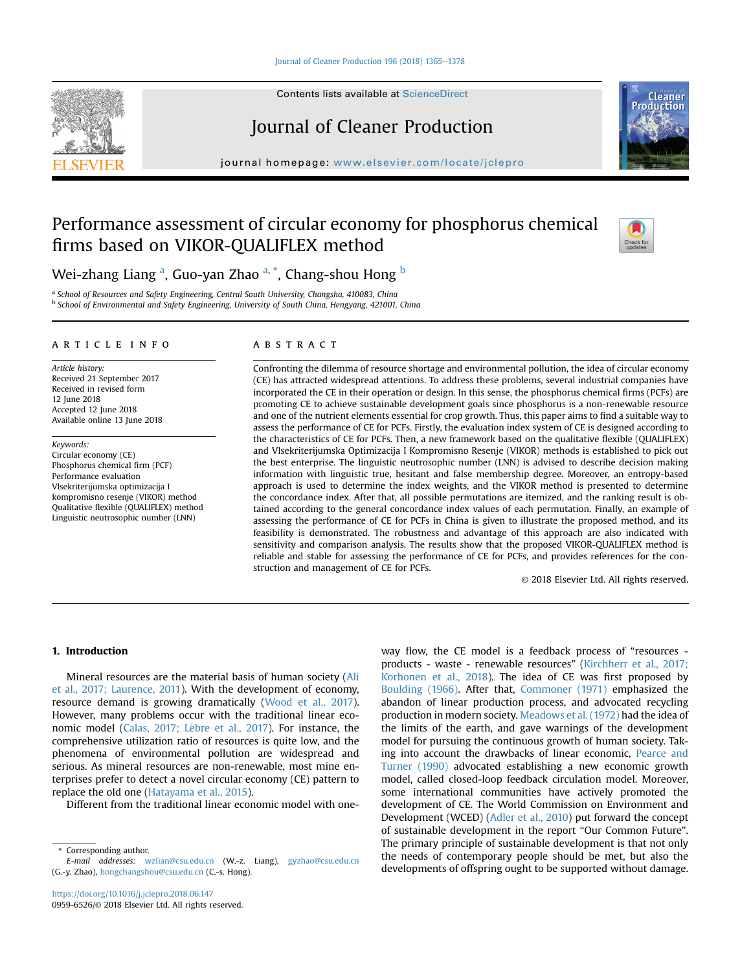#### [Journal of Cleaner Production 196 \(2018\) 1365](https://doi.org/10.1016/j.jclepro.2018.06.147)-[1378](https://doi.org/10.1016/j.jclepro.2018.06.147)

Contents lists available at ScienceDirect

# Journal of Cleaner Production

journal homepage: [www.elsevier.com/locate/jclepro](http://www.elsevier.com/locate/jclepro)

## Performance assessment of circular economy for phosphorus chemical firms based on VIKOR-QUALIFLEX method



<sup>a</sup> School of Resources and Safety Engineering, Central South University, Changsha, 410083, China <sup>b</sup> School of Environmental and Safety Engineering, University of South China, Hengyang, 421001, China

## article info

Article history: Received 21 September 2017 Received in revised form 12 June 2018 Accepted 12 June 2018 Available online 13 June 2018

Keywords: Circular economy (CE) Phosphorus chemical firm (PCF) Performance evaluation Vlsekriterijumska optimizacija I kompromisno resenje (VIKOR) method Qualitative flexible (QUALIFLEX) method Linguistic neutrosophic number (LNN)

## ABSTRACT

Confronting the dilemma of resource shortage and environmental pollution, the idea of circular economy (CE) has attracted widespread attentions. To address these problems, several industrial companies have incorporated the CE in their operation or design. In this sense, the phosphorus chemical firms (PCFs) are promoting CE to achieve sustainable development goals since phosphorus is a non-renewable resource and one of the nutrient elements essential for crop growth. Thus, this paper aims to find a suitable way to assess the performance of CE for PCFs. Firstly, the evaluation index system of CE is designed according to the characteristics of CE for PCFs. Then, a new framework based on the qualitative flexible (QUALIFLEX) and Vlsekriterijumska Optimizacija I Kompromisno Resenje (VIKOR) methods is established to pick out the best enterprise. The linguistic neutrosophic number (LNN) is advised to describe decision making information with linguistic true, hesitant and false membership degree. Moreover, an entropy-based approach is used to determine the index weights, and the VIKOR method is presented to determine the concordance index. After that, all possible permutations are itemized, and the ranking result is obtained according to the general concordance index values of each permutation. Finally, an example of assessing the performance of CE for PCFs in China is given to illustrate the proposed method, and its feasibility is demonstrated. The robustness and advantage of this approach are also indicated with sensitivity and comparison analysis. The results show that the proposed VIKOR-QUALIFLEX method is reliable and stable for assessing the performance of CE for PCFs, and provides references for the construction and management of CE for PCFs.

© 2018 Elsevier Ltd. All rights reserved.

## 1. Introduction

Mineral resources are the material basis of human society [\(Ali](#page-12-0) [et al., 2017; Laurence, 2011\)](#page-12-0). With the development of economy, resource demand is growing dramatically [\(Wood et al., 2017\)](#page-13-0). However, many problems occur with the traditional linear economic model (Calas, 2017; Lèbre et al., 2017). For instance, the comprehensive utilization ratio of resources is quite low, and the phenomena of environmental pollution are widespread and serious. As mineral resources are non-renewable, most mine enterprises prefer to detect a novel circular economy (CE) pattern to replace the old one [\(Hatayama et al., 2015](#page-12-0)).

Different from the traditional linear economic model with one-

way flow, the CE model is a feedback process of "resources products - waste - renewable resources" [\(Kirchherr et al., 2017;](#page-12-0) [Korhonen et al., 2018\)](#page-12-0). The idea of CE was first proposed by [Boulding \(1966\)](#page-12-0). After that, [Commoner \(1971\)](#page-12-0) emphasized the abandon of linear production process, and advocated recycling production in modern society. [Meadows et al. \(1972\)](#page-12-0) had the idea of the limits of the earth, and gave warnings of the development model for pursuing the continuous growth of human society. Taking into account the drawbacks of linear economic, [Pearce and](#page-13-0) [Turner \(1990\)](#page-13-0) advocated establishing a new economic growth model, called closed-loop feedback circulation model. Moreover, some international communities have actively promoted the development of CE. The World Commission on Environment and Development (WCED) [\(Adler et al., 2010](#page-12-0)) put forward the concept of sustainable development in the report "Our Common Future". The primary principle of sustainable development is that not only the needs of contemporary people should be met, but also the developments of offspring ought to be supported without damage.







<sup>\*</sup> Corresponding author.

E-mail addresses: [wzlian@csu.edu.cn](mailto:wzlian@csu.edu.cn) (W.-z. Liang), [gyzhao@csu.edu.cn](mailto:gyzhao@csu.edu.cn) (G.-y. Zhao), [hongchangshou@csu.edu.cn](mailto:hongchangshou@csu.edu.cn) (C.-s. Hong).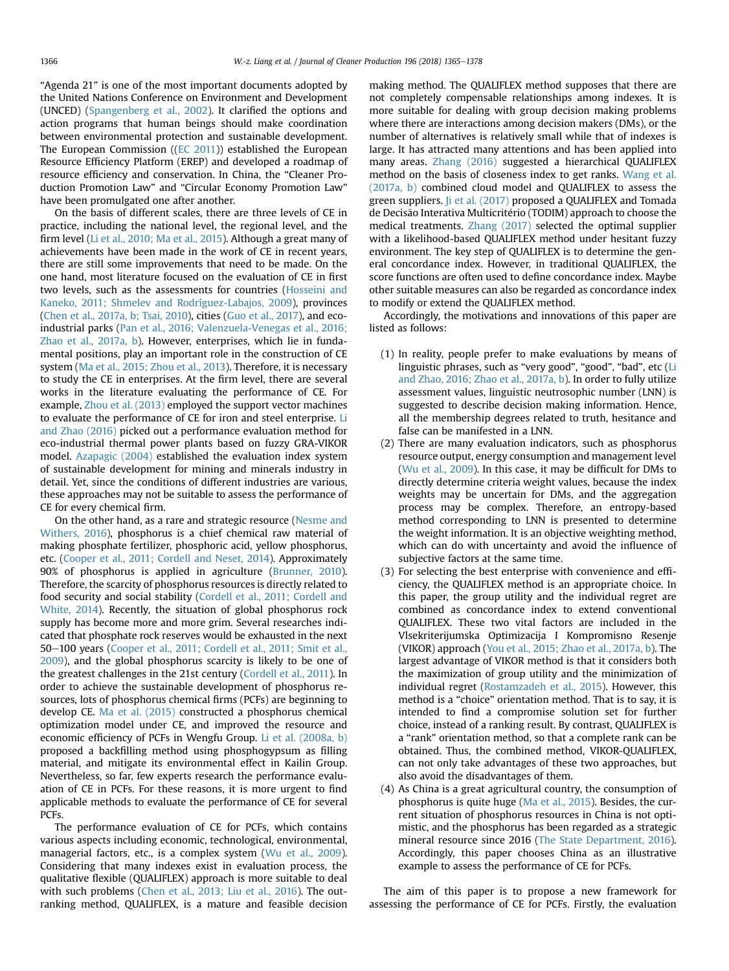"Agenda 21" is one of the most important documents adopted by the United Nations Conference on Environment and Development (UNCED) ([Spangenberg et al., 2002\)](#page-13-0). It clarified the options and action programs that human beings should make coordination between environmental protection and sustainable development. The European Commission (([EC 2011](#page-12-0))) established the European Resource Efficiency Platform (EREP) and developed a roadmap of resource efficiency and conservation. In China, the "Cleaner Production Promotion Law" and "Circular Economy Promotion Law" have been promulgated one after another.

On the basis of different scales, there are three levels of CE in practice, including the national level, the regional level, and the firm level ([Li et al., 2010; Ma et al., 2015\)](#page-12-0). Although a great many of achievements have been made in the work of CE in recent years, there are still some improvements that need to be made. On the one hand, most literature focused on the evaluation of CE in first two levels, such as the assessments for countries ([Hosseini and](#page-12-0) [Kaneko, 2011; Shmelev and Rodríguez-Labajos, 2009\)](#page-12-0), provinces ([Chen et al., 2017a, b; Tsai, 2010](#page-12-0)), cities ([Guo et al., 2017\)](#page-12-0), and ecoindustrial parks [\(Pan et al., 2016; Valenzuela-Venegas et al., 2016;](#page-13-0) [Zhao et al., 2017a, b](#page-13-0)). However, enterprises, which lie in fundamental positions, play an important role in the construction of CE system [\(Ma et al., 2015; Zhou et al., 2013](#page-12-0)). Therefore, it is necessary to study the CE in enterprises. At the firm level, there are several works in the literature evaluating the performance of CE. For example, [Zhou et al. \(2013\)](#page-13-0) employed the support vector machines to evaluate the performance of CE for iron and steel enterprise. [Li](#page-12-0) [and Zhao \(2016\)](#page-12-0) picked out a performance evaluation method for eco-industrial thermal power plants based on fuzzy GRA-VIKOR model. [Azapagic \(2004\)](#page-12-0) established the evaluation index system of sustainable development for mining and minerals industry in detail. Yet, since the conditions of different industries are various, these approaches may not be suitable to assess the performance of CE for every chemical firm.

On the other hand, as a rare and strategic resource ([Nesme and](#page-12-0) [Withers, 2016](#page-12-0)), phosphorus is a chief chemical raw material of making phosphate fertilizer, phosphoric acid, yellow phosphorus, etc. ([Cooper et al., 2011; Cordell and Neset, 2014](#page-12-0)). Approximately 90% of phosphorus is applied in agriculture [\(Brunner, 2010\)](#page-12-0). Therefore, the scarcity of phosphorus resources is directly related to food security and social stability ([Cordell et al., 2011; Cordell and](#page-12-0) [White, 2014](#page-12-0)). Recently, the situation of global phosphorus rock supply has become more and more grim. Several researches indicated that phosphate rock reserves would be exhausted in the next 50-100 years ([Cooper et al., 2011; Cordell et al., 2011; Smit et al.,](#page-12-0) [2009](#page-12-0)), and the global phosphorus scarcity is likely to be one of the greatest challenges in the 21st century [\(Cordell et al., 2011](#page-12-0)). In order to achieve the sustainable development of phosphorus resources, lots of phosphorus chemical firms (PCFs) are beginning to develop CE. [Ma et al. \(2015\)](#page-12-0) constructed a phosphorus chemical optimization model under CE, and improved the resource and economic efficiency of PCFs in Wengfu Group. [Li et al. \(2008a, b\)](#page-12-0) proposed a backfilling method using phosphogypsum as filling material, and mitigate its environmental effect in Kailin Group. Nevertheless, so far, few experts research the performance evaluation of CE in PCFs. For these reasons, it is more urgent to find applicable methods to evaluate the performance of CE for several PCFs.

The performance evaluation of CE for PCFs, which contains various aspects including economic, technological, environmental, managerial factors, etc., is a complex system ([Wu et al., 2009\)](#page-13-0). Considering that many indexes exist in evaluation process, the qualitative flexible (QUALIFLEX) approach is more suitable to deal with such problems ([Chen et al., 2013; Liu et al., 2016\)](#page-12-0). The outranking method, QUALIFLEX, is a mature and feasible decision making method. The QUALIFLEX method supposes that there are not completely compensable relationships among indexes. It is more suitable for dealing with group decision making problems where there are interactions among decision makers (DMs), or the number of alternatives is relatively small while that of indexes is large. It has attracted many attentions and has been applied into many areas. [Zhang \(2016\)](#page-13-0) suggested a hierarchical QUALIFLEX method on the basis of closeness index to get ranks. [Wang et al.](#page-13-0) [\(2017a, b\)](#page-13-0) combined cloud model and QUALIFLEX to assess the green suppliers. [Ji et al. \(2017\)](#page-12-0) proposed a QUALIFLEX and Tomada de Decisão Interativa Multicritério (TODIM) approach to choose the medical treatments. [Zhang \(2017\)](#page-13-0) selected the optimal supplier with a likelihood-based QUALIFLEX method under hesitant fuzzy environment. The key step of QUALIFLEX is to determine the general concordance index. However, in traditional QUALIFLEX, the score functions are often used to define concordance index. Maybe other suitable measures can also be regarded as concordance index to modify or extend the QUALIFLEX method.

Accordingly, the motivations and innovations of this paper are listed as follows:

- (1) In reality, people prefer to make evaluations by means of linguistic phrases, such as "very good", "good", "bad", etc [\(Li](#page-12-0) [and Zhao, 2016; Zhao et al., 2017a, b](#page-12-0)). In order to fully utilize assessment values, linguistic neutrosophic number (LNN) is suggested to describe decision making information. Hence, all the membership degrees related to truth, hesitance and false can be manifested in a LNN.
- (2) There are many evaluation indicators, such as phosphorus resource output, energy consumption and management level ([Wu et al., 2009\)](#page-13-0). In this case, it may be difficult for DMs to directly determine criteria weight values, because the index weights may be uncertain for DMs, and the aggregation process may be complex. Therefore, an entropy-based method corresponding to LNN is presented to determine the weight information. It is an objective weighting method, which can do with uncertainty and avoid the influence of subjective factors at the same time.
- (3) For selecting the best enterprise with convenience and efficiency, the QUALIFLEX method is an appropriate choice. In this paper, the group utility and the individual regret are combined as concordance index to extend conventional QUALIFLEX. These two vital factors are included in the Vlsekriterijumska Optimizacija I Kompromisno Resenje (VIKOR) approach ([You et al., 2015; Zhao et al., 2017a, b](#page-13-0)). The largest advantage of VIKOR method is that it considers both the maximization of group utility and the minimization of individual regret ([Rostamzadeh et al., 2015\)](#page-13-0). However, this method is a "choice" orientation method. That is to say, it is intended to find a compromise solution set for further choice, instead of a ranking result. By contrast, QUALIFLEX is a "rank" orientation method, so that a complete rank can be obtained. Thus, the combined method, VIKOR-QUALIFLEX, can not only take advantages of these two approaches, but also avoid the disadvantages of them.
- (4) As China is a great agricultural country, the consumption of phosphorus is quite huge [\(Ma et al., 2015\)](#page-12-0). Besides, the current situation of phosphorus resources in China is not optimistic, and the phosphorus has been regarded as a strategic mineral resource since 2016 [\(The State Department, 2016\)](#page-13-0). Accordingly, this paper chooses China as an illustrative example to assess the performance of CE for PCFs.

The aim of this paper is to propose a new framework for assessing the performance of CE for PCFs. Firstly, the evaluation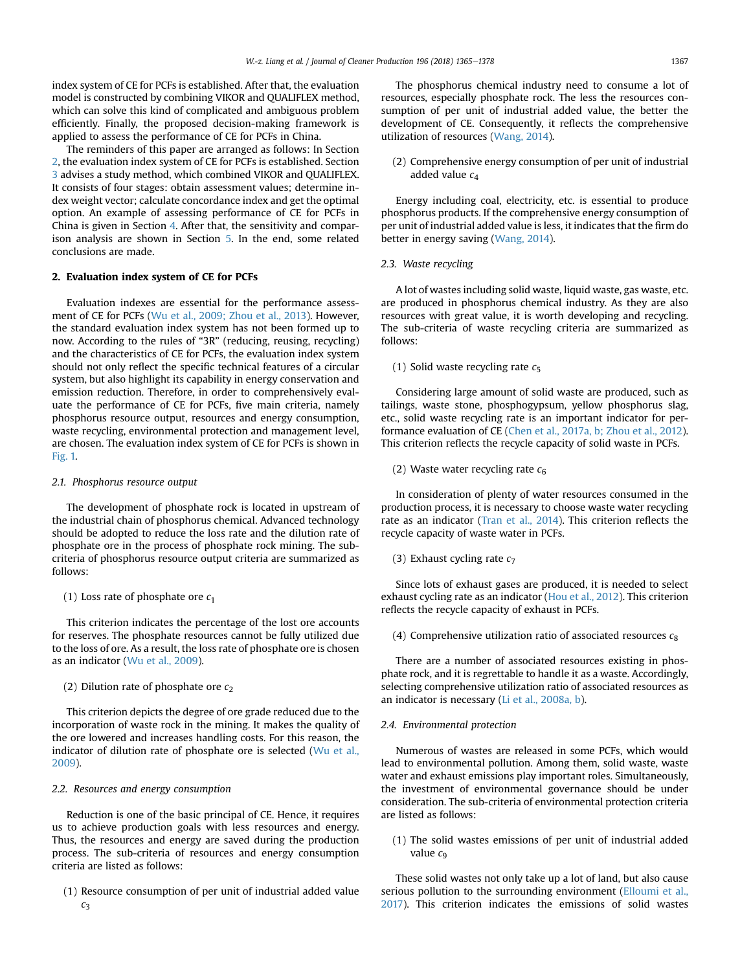index system of CE for PCFs is established. After that, the evaluation model is constructed by combining VIKOR and QUALIFLEX method, which can solve this kind of complicated and ambiguous problem efficiently. Finally, the proposed decision-making framework is applied to assess the performance of CE for PCFs in China.

The reminders of this paper are arranged as follows: In Section 2, the evaluation index system of CE for PCFs is established. Section [3](#page-4-0) advises a study method, which combined VIKOR and QUALIFLEX. It consists of four stages: obtain assessment values; determine index weight vector; calculate concordance index and get the optimal option. An example of assessing performance of CE for PCFs in China is given in Section [4](#page-6-0). After that, the sensitivity and comparison analysis are shown in Section [5](#page-7-0). In the end, some related conclusions are made.

## 2. Evaluation index system of CE for PCFs

Evaluation indexes are essential for the performance assessment of CE for PCFs ([Wu et al., 2009; Zhou et al., 2013](#page-13-0)). However, the standard evaluation index system has not been formed up to now. According to the rules of "3R" (reducing, reusing, recycling) and the characteristics of CE for PCFs, the evaluation index system should not only reflect the specific technical features of a circular system, but also highlight its capability in energy conservation and emission reduction. Therefore, in order to comprehensively evaluate the performance of CE for PCFs, five main criteria, namely phosphorus resource output, resources and energy consumption, waste recycling, environmental protection and management level, are chosen. The evaluation index system of CE for PCFs is shown in [Fig. 1.](#page-3-0)

## 2.1. Phosphorus resource output

The development of phosphate rock is located in upstream of the industrial chain of phosphorus chemical. Advanced technology should be adopted to reduce the loss rate and the dilution rate of phosphate ore in the process of phosphate rock mining. The subcriteria of phosphorus resource output criteria are summarized as follows:

## (1) Loss rate of phosphate ore  $c_1$

This criterion indicates the percentage of the lost ore accounts for reserves. The phosphate resources cannot be fully utilized due to the loss of ore. As a result, the loss rate of phosphate ore is chosen as an indicator ([Wu et al., 2009\)](#page-13-0).

## (2) Dilution rate of phosphate ore  $c_2$

This criterion depicts the degree of ore grade reduced due to the incorporation of waste rock in the mining. It makes the quality of the ore lowered and increases handling costs. For this reason, the indicator of dilution rate of phosphate ore is selected ([Wu et al.,](#page-13-0) [2009\)](#page-13-0).

## 2.2. Resources and energy consumption

Reduction is one of the basic principal of CE. Hence, it requires us to achieve production goals with less resources and energy. Thus, the resources and energy are saved during the production process. The sub-criteria of resources and energy consumption criteria are listed as follows:

(1) Resource consumption of per unit of industrial added value  $C<sub>3</sub>$ 

The phosphorus chemical industry need to consume a lot of resources, especially phosphate rock. The less the resources consumption of per unit of industrial added value, the better the development of CE. Consequently, it reflects the comprehensive utilization of resources ([Wang, 2014](#page-13-0)).

(2) Comprehensive energy consumption of per unit of industrial added value  $c_4$ 

Energy including coal, electricity, etc. is essential to produce phosphorus products. If the comprehensive energy consumption of per unit of industrial added value is less, it indicates that the firm do better in energy saving ([Wang, 2014](#page-13-0)).

2.3. Waste recycling

A lot of wastes including solid waste, liquid waste, gas waste, etc. are produced in phosphorus chemical industry. As they are also resources with great value, it is worth developing and recycling. The sub-criteria of waste recycling criteria are summarized as follows:

(1) Solid waste recycling rate  $c_5$ 

Considering large amount of solid waste are produced, such as tailings, waste stone, phosphogypsum, yellow phosphorus slag, etc., solid waste recycling rate is an important indicator for performance evaluation of CE ([Chen et al., 2017a, b; Zhou et al., 2012\)](#page-12-0). This criterion reflects the recycle capacity of solid waste in PCFs.

(2) Waste water recycling rate  $c_6$ 

In consideration of plenty of water resources consumed in the production process, it is necessary to choose waste water recycling rate as an indicator ([Tran et al., 2014](#page-13-0)). This criterion reflects the recycle capacity of waste water in PCFs.

(3) Exhaust cycling rate  $c_7$ 

Since lots of exhaust gases are produced, it is needed to select exhaust cycling rate as an indicator ([Hou et al., 2012\)](#page-12-0). This criterion reflects the recycle capacity of exhaust in PCFs.

(4) Comprehensive utilization ratio of associated resources  $c_8$ 

There are a number of associated resources existing in phosphate rock, and it is regrettable to handle it as a waste. Accordingly, selecting comprehensive utilization ratio of associated resources as an indicator is necessary [\(Li et al., 2008a, b\)](#page-12-0).

## 2.4. Environmental protection

Numerous of wastes are released in some PCFs, which would lead to environmental pollution. Among them, solid waste, waste water and exhaust emissions play important roles. Simultaneously, the investment of environmental governance should be under consideration. The sub-criteria of environmental protection criteria are listed as follows:

(1) The solid wastes emissions of per unit of industrial added value  $c_9$ 

These solid wastes not only take up a lot of land, but also cause serious pollution to the surrounding environment ([Elloumi et al.,](#page-12-0) [2017](#page-12-0)). This criterion indicates the emissions of solid wastes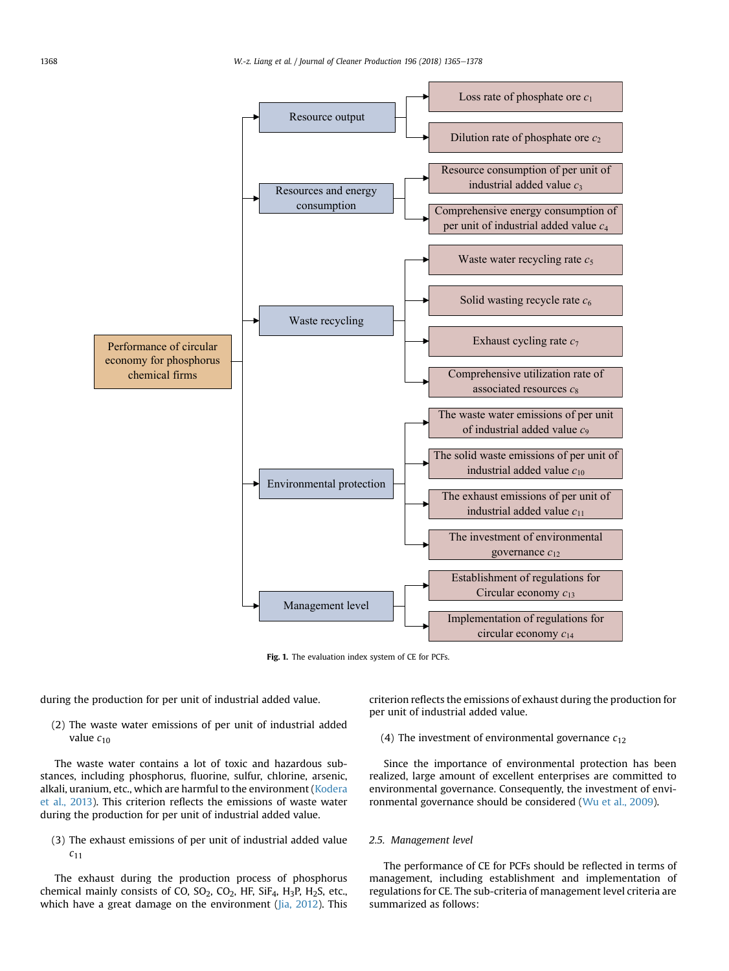<span id="page-3-0"></span>

Fig. 1. The evaluation index system of CE for PCFs.

during the production for per unit of industrial added value.

(2) The waste water emissions of per unit of industrial added value  $c_{10}$ 

The waste water contains a lot of toxic and hazardous substances, including phosphorus, fluorine, sulfur, chlorine, arsenic, alkali, uranium, etc., which are harmful to the environment [\(Kodera](#page-12-0) [et al., 2013\)](#page-12-0). This criterion reflects the emissions of waste water during the production for per unit of industrial added value.

(3) The exhaust emissions of per unit of industrial added value  $c_{11}$ 

The exhaust during the production process of phosphorus chemical mainly consists of CO,  $SO_2$ ,  $CO_2$ , HF,  $SiF_4$ ,  $H_3P$ ,  $H_2S$ , etc., which have a great damage on the environment [\(Jia, 2012](#page-12-0)). This criterion reflects the emissions of exhaust during the production for per unit of industrial added value.

(4) The investment of environmental governance  $c_{12}$ 

Since the importance of environmental protection has been realized, large amount of excellent enterprises are committed to environmental governance. Consequently, the investment of environmental governance should be considered [\(Wu et al., 2009\)](#page-13-0).

## 2.5. Management level

The performance of CE for PCFs should be reflected in terms of management, including establishment and implementation of regulations for CE. The sub-criteria of management level criteria are summarized as follows: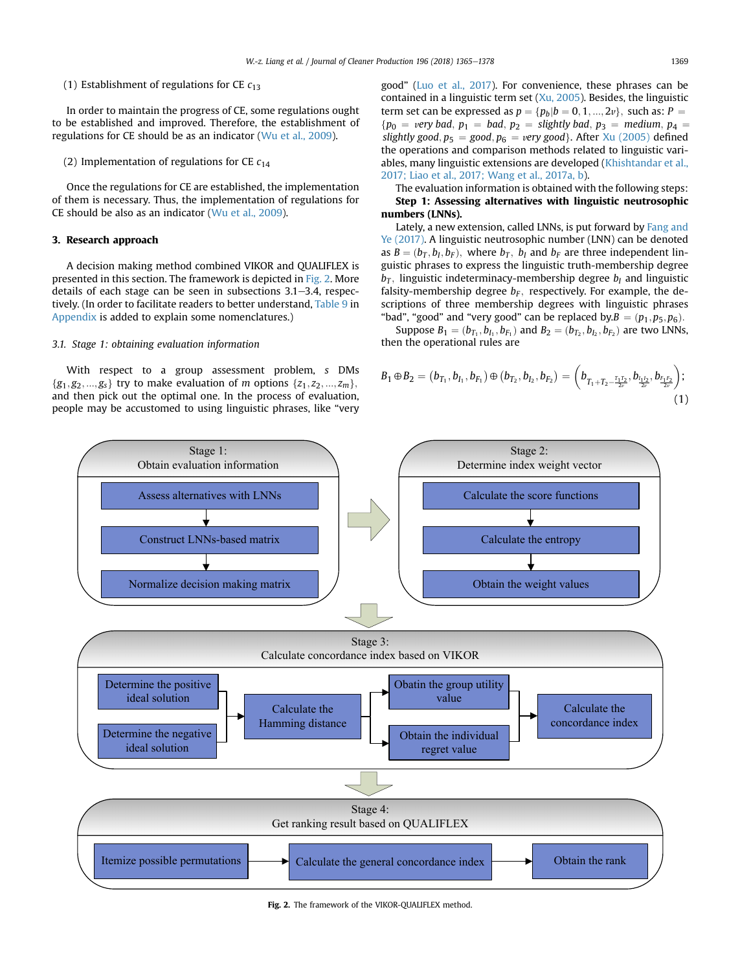## <span id="page-4-0"></span>(1) Establishment of regulations for CE  $c_{13}$

In order to maintain the progress of CE, some regulations ought to be established and improved. Therefore, the establishment of regulations for CE should be as an indicator [\(Wu et al., 2009](#page-13-0)).

## (2) Implementation of regulations for CE  $c_{14}$

Once the regulations for CE are established, the implementation of them is necessary. Thus, the implementation of regulations for CE should be also as an indicator ([Wu et al., 2009\)](#page-13-0).

## 3. Research approach

A decision making method combined VIKOR and QUALIFLEX is presented in this section. The framework is depicted in Fig. 2. More details of each stage can be seen in subsections  $3.1-3.4$ , respectively. (In order to facilitate readers to better understand, [Table 9](#page-11-0) in [Appendix](#page-11-0) is added to explain some nomenclatures.)

#### 3.1. Stage 1: obtaining evaluation information

With respect to a group assessment problem, s DMs  $\{g_1, g_2, ..., g_s\}$  try to make evaluation of *m* options  $\{z_1, z_2, ..., z_m\}$ , and then pick out the optimal one. In the process of evaluation, people may be accustomed to using linguistic phrases, like "very good" ([Luo et al., 2017\)](#page-12-0). For convenience, these phrases can be contained in a linguistic term set ([Xu, 2005](#page-13-0)). Besides, the linguistic term set can be expressed as  $p = \{p_b | b = 0, 1, ..., 2v\}$ , such as:  $P =$  ${p_0 = very \text{ bad}, p_1 = \text{bad}, p_2 = \text{slightly \text{ bad}}, p_3 = \text{medium}, p_4 = \text{total}}$ slightly good,  $p_5 = good$ ,  $p_6 = very$  good}. After [Xu \(2005\)](#page-13-0) defined the operations and comparison methods related to linguistic variables, many linguistic extensions are developed ([Khishtandar et al.,](#page-12-0) [2017; Liao et al., 2017; Wang et al., 2017a, b](#page-12-0)).

The evaluation information is obtained with the following steps: Step 1: Assessing alternatives with linguistic neutrosophic numbers (LNNs).

Lately, a new extension, called LNNs, is put forward by [Fang and](#page-12-0) [Ye \(2017\).](#page-12-0) A linguistic neutrosophic number (LNN) can be denoted as  $B = (b_T, b_I, b_F)$ , where  $b_T$ ,  $b_I$  and  $b_F$  are three independent linguistic phrases to express the linguistic truth-membership degree  $b_T$ , linguistic indeterminacy-membership degree  $b_I$  and linguistic falsity-membership degree  $b_F$ , respectively. For example, the descriptions of three membership degrees with linguistic phrases "bad", "good" and "very good" can be replaced by. $B = (p_1, p_5, p_6)$ .

Suppose  $B_1 = (b_{T_1}, b_{I_1}, b_{F_1})$  and  $B_2 = (b_{T_2}, b_{I_2}, b_{F_2})$  are two LNNs, then the operational rules are

$$
B_1 \oplus B_2 = (b_{T_1}, b_{I_1}, b_{F_1}) \oplus (b_{T_2}, b_{I_2}, b_{F_2}) = \left(b_{T_1 + T_2 - \frac{T_1 T_2}{2\nu}}, b_{\frac{I_1 I_2}{2\nu}}, b_{\frac{F_1 F_2}{2\nu}}\right);
$$
\n(1)



#### Fig. 2. The framework of the VIKOR-QUALIFLEX method.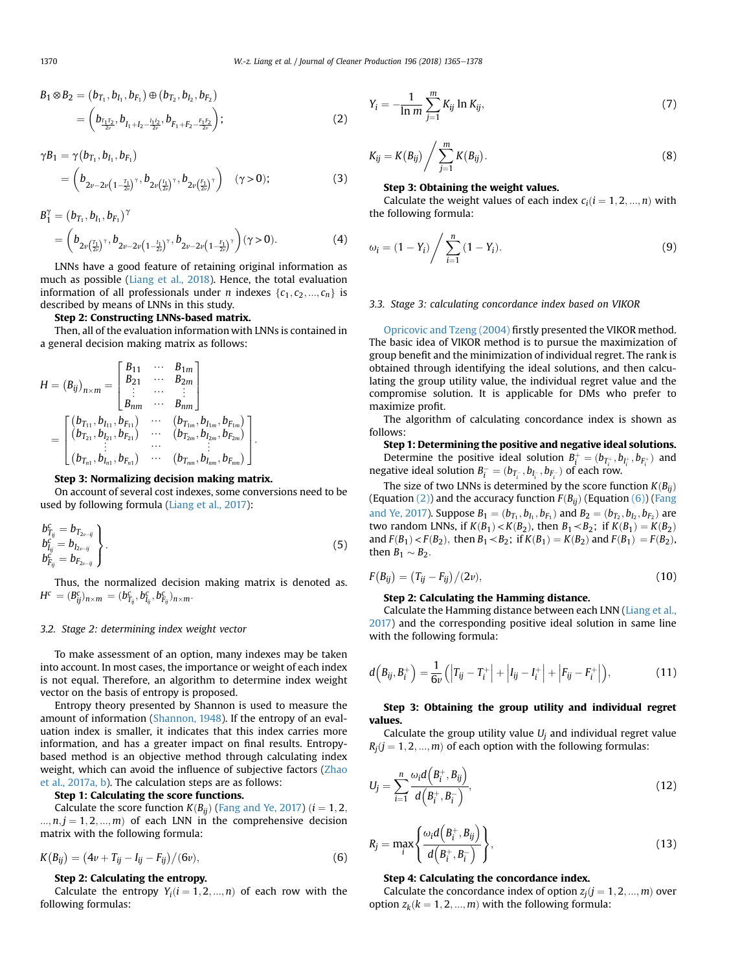<span id="page-5-0"></span>
$$
B_1 \otimes B_2 = (b_{T_1}, b_{I_1}, b_{F_1}) \oplus (b_{T_2}, b_{I_2}, b_{F_2})
$$
  
= 
$$
\left(b_{\frac{T_1 T_2}{2\nu}}, b_{I_1 + I_2 - \frac{I_1 I_2}{2\nu}}, b_{F_1 + F_2 - \frac{F_1 F_2}{2\nu}}\right);
$$
 (2)

$$
\gamma B_1 = \gamma (b_{T_1}, b_{I_1}, b_{F_1})
$$
  
=  $(b_{2\nu - 2\nu (1 - \frac{T_1}{2\nu})^\gamma}, b_{2\nu (\frac{I_1}{2\nu})^\gamma}, b_{2\nu (\frac{F_1}{2\nu})^\gamma})$  ( $\gamma > 0$ ); (3)

$$
B_1^{\gamma} = (b_{T_1}, b_{I_1}, b_{F_1})^{\gamma}
$$
  
=  $(b_{2\nu(\frac{T_1}{2\nu})^{\gamma}}, b_{2\nu-2\nu(1-\frac{I_1}{2\nu})^{\gamma}}, b_{2\nu-2\nu(1-\frac{F_1}{2\nu})^{\gamma}})(\gamma > 0).$  (4)

LNNs have a good feature of retaining original information as much as possible ([Liang et al., 2018](#page-12-0)). Hence, the total evaluation information of all professionals under *n* indexes  $\{c_1, c_2, ..., c_n\}$  is described by means of LNNs in this study.

#### Step 2: Constructing LNNs-based matrix.

Then, all of the evaluation information with LNNs is contained in a general decision making matrix as follows:

$$
H = (B_{ij})_{n \times m} = \begin{bmatrix} B_{11} & \cdots & B_{1m} \\ B_{21} & \cdots & B_{2m} \\ \vdots & \cdots & \vdots \\ B_{nm} & \cdots & B_{nm} \end{bmatrix}
$$
  
= 
$$
\begin{bmatrix} (b_{T_{11}}, b_{I_{11}}, b_{F_{11}}) & \cdots & (b_{T_{1m}}, b_{I_{1m}}, b_{F_{1m}}) \\ (b_{T_{21}}, b_{I_{21}}, b_{F_{21}}) & \cdots & (b_{T_{2m}}, b_{I_{2m}}, b_{F_{2m}}) \\ \vdots & \cdots & \vdots \\ (b_{T_{m1}}, b_{I_{n1}}, b_{F_{n1}}) & \cdots & (b_{T_{nm}}, b_{I_{nm}}, b_{F_{nm}}) \end{bmatrix}.
$$

#### Step 3: Normalizing decision making matrix.

On account of several cost indexes, some conversions need to be used by following formula [\(Liang et al., 2017](#page-12-0)):

$$
\left.\begin{array}{l}\n b_{T_{ij}}^c = b_{T_{2\nu - ij}} \\
 b_{I_{ij}}^c = b_{I_{2\nu - ij}} \\
 b_{F_{ij}}^c = b_{F_{2\nu - ij}}\n \end{array}\right\rbrace .
$$
\n(5)

Thus, the normalized decision making matrix is denoted as.  $H^c = (B_{ij}^c)_{n \times m} = (b_{T_{ij}}^c, b_{I_{ij}}^c, b_{F_{ij}}^c)_{n \times m}.$ 

## 3.2. Stage 2: determining index weight vector

To make assessment of an option, many indexes may be taken into account. In most cases, the importance or weight of each index is not equal. Therefore, an algorithm to determine index weight vector on the basis of entropy is proposed.

Entropy theory presented by Shannon is used to measure the amount of information [\(Shannon, 1948](#page-13-0)). If the entropy of an evaluation index is smaller, it indicates that this index carries more information, and has a greater impact on final results. Entropybased method is an objective method through calculating index weight, which can avoid the influence of subjective factors [\(Zhao](#page-13-0) [et al., 2017a, b\)](#page-13-0). The calculation steps are as follows:

#### Step 1: Calculating the score functions.

Calculate the score function  $K(B_{ij})$  ([Fang and Ye, 2017\)](#page-12-0)  $(i = 1, 2, ...)$  $..., n, j = 1, 2, ..., m$  of each LNN in the comprehensive decision matrix with the following formula:

$$
K(B_{ij}) = (4v + T_{ij} - I_{ij} - F_{ij})/(6v),
$$
\n(6)

## Step 2: Calculating the entropy.

Calculate the entropy  $Y_i$   $(i = 1, 2, ..., n)$  of each row with the following formulas:

$$
Y_i = -\frac{1}{\ln m} \sum_{j=1}^{m} K_{ij} \ln K_{ij},
$$
 (7)

$$
K_{ij} = K(B_{ij}) \bigg/ \sum_{j=1}^{m} K(B_{ij}). \tag{8}
$$

## Step 3: Obtaining the weight values.

Calculate the weight values of each index  $c_i$  ( $i = 1, 2, ..., n$ ) with the following formula:

$$
\omega_i = (1 - Y_i) / \sum_{i=1}^n (1 - Y_i).
$$
\n(9)

## 3.3. Stage 3: calculating concordance index based on VIKOR

[Opricovic and Tzeng \(2004\)](#page-13-0) firstly presented the VIKOR method. The basic idea of VIKOR method is to pursue the maximization of group benefit and the minimization of individual regret. The rank is obtained through identifying the ideal solutions, and then calculating the group utility value, the individual regret value and the compromise solution. It is applicable for DMs who prefer to maximize profit.

The algorithm of calculating concordance index is shown as follows:

Step 1: Determining the positive and negative ideal solutions. Determine the positive ideal solution  $B_i^+ = (b_{T_i^+}, b_{T_i^+}, b_{F_i^+})$  and<br>rative ideal solution  $B_i^- = (b_i, b_i, b_i)$  of each row. negative ideal solution  $B_i^- = (b_{T_i^-}, b_{T_i^-}, b_{F_i^-})$  of each row.

The size of two LNNs is determined by the score function  $K(B_{ij})$ (Equation (2)) and the accuracy function  $F(B_{ii})$  (Equation (6)) [\(Fang](#page-12-0) [and Ye, 2017](#page-12-0)). Suppose  $B_1 = (b_{T_1}, b_{T_1}, b_{F_1})$  and  $B_2 = (b_{T_2}, b_{T_2}, b_{F_2})$  are two random LNNs, if  $K(B_1) < K(B_2)$ , then  $B_1 < B_2$ ; if  $K(B_1) = K(B_2)$ and  $F(B_1) < F(B_2)$ , then  $B_1 < B_2$ ; if  $K(B_1) = K(B_2)$  and  $F(B_1) = F(B_2)$ , then  $B_1 \sim B_2$ .

$$
F(B_{ij}) = (T_{ij} - F_{ij})/(2\nu),
$$
\n(10)

## Step 2: Calculating the Hamming distance.

Calculate the Hamming distance between each LNN [\(Liang et al.,](#page-12-0) [2017\)](#page-12-0) and the corresponding positive ideal solution in same line with the following formula:

$$
d(B_{ij}, B_i^+) = \frac{1}{6\nu} (|T_{ij} - T_i^+| + |I_{ij} - I_i^+| + |F_{ij} - F_i^+|),
$$
 (11)

## Step 3: Obtaining the group utility and individual regret values.

Calculate the group utility value  $U_i$  and individual regret value  $R_i$ ( $j = 1, 2, ..., m$ ) of each option with the following formulas:

$$
U_j = \sum_{i=1}^n \frac{\omega_i d\left(B_i^+, B_{ij}\right)}{d\left(B_i^+, B_i^-\right)},\tag{12}
$$

$$
R_j = \max_i \left\{ \frac{\omega_i d\left(B_i^+, B_{ij}\right)}{d\left(B_i^+, B_i^-\right)} \right\},\tag{13}
$$

## Step 4: Calculating the concordance index.

Calculate the concordance index of option  $z_i$   $(j = 1, 2, ..., m)$  over option  $z_k$ ( $k = 1, 2, ..., m$ ) with the following formula: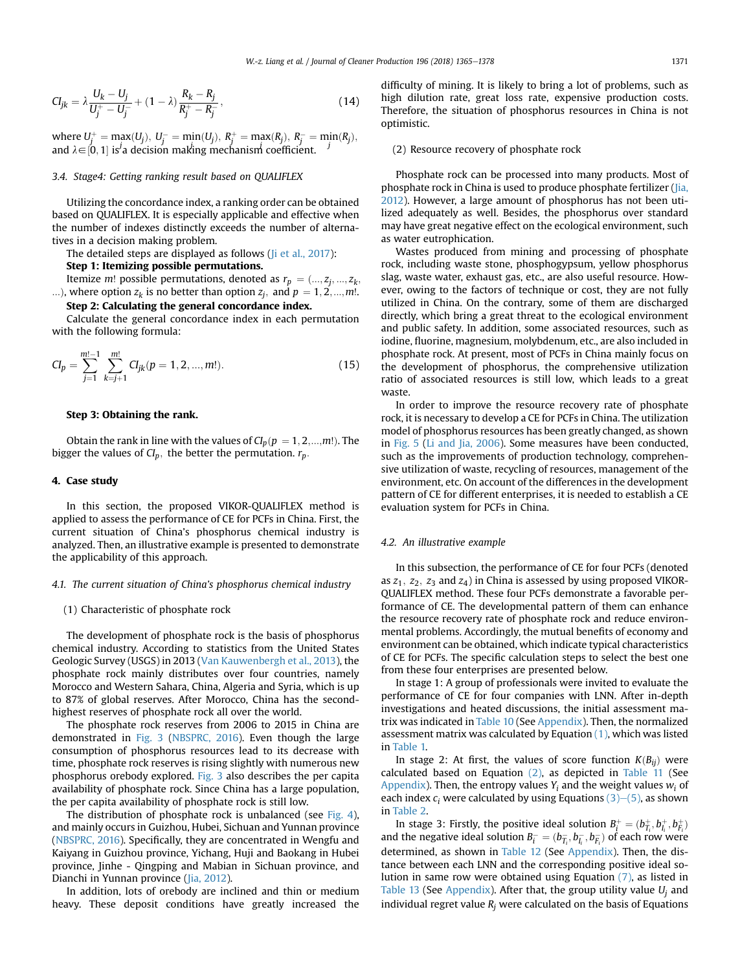<span id="page-6-0"></span>
$$
CI_{jk} = \lambda \frac{U_k - U_j}{U_j^+ - U_j^-} + (1 - \lambda) \frac{R_k - R_j}{R_j^+ - R_j^-},
$$
\n(14)

where  $U_j^+ = \max(U_j)$ ,  $U_j^- = \min(U_j)$ ,  $R_j^+ = \max(R_j)$ ,  $R_j^- = \min(R_j)$ ,<br>and  $\lambda \subset [0, 1]$  is a decision mathematic performance of ficient and  $\lambda \in [0, 1]$  is<sup>*i*</sup> a decision making mechanism coefficient.

## 3.4. Stage4: Getting ranking result based on QUALIFLEX

Utilizing the concordance index, a ranking order can be obtained based on QUALIFLEX. It is especially applicable and effective when the number of indexes distinctly exceeds the number of alternatives in a decision making problem.

The detailed steps are displayed as follows (*Ii et al., 2017*):

## Step 1: Itemizing possible permutations.

Itemize *m*! possible permutations, denoted as  $r_p = (..., z_j, ..., z_k)$ ...), where option  $z_k$  is no better than option  $z_j$ , and  $p = 1, 2, ..., m!$ .

## Step 2: Calculating the general concordance index.

Calculate the general concordance index in each permutation with the following formula:

$$
Cl_p = \sum_{j=1}^{m!-1} \sum_{k=j+1}^{m!} Cl_{jk}(p = 1, 2, ..., m!).
$$
 (15)

## Step 3: Obtaining the rank.

Obtain the rank in line with the values of  $Cl_p(p = 1, 2, \ldots, m!)$ . The bigger the values of  $Cl_p$ , the better the permutation.  $r_p$ .

#### 4. Case study

In this section, the proposed VIKOR-QUALIFLEX method is applied to assess the performance of CE for PCFs in China. First, the current situation of China's phosphorus chemical industry is analyzed. Then, an illustrative example is presented to demonstrate the applicability of this approach.

#### 4.1. The current situation of China's phosphorus chemical industry

#### (1) Characteristic of phosphate rock

The development of phosphate rock is the basis of phosphorus chemical industry. According to statistics from the United States Geologic Survey (USGS) in 2013 [\(Van Kauwenbergh et al., 2013\)](#page-13-0), the phosphate rock mainly distributes over four countries, namely Morocco and Western Sahara, China, Algeria and Syria, which is up to 87% of global reserves. After Morocco, China has the secondhighest reserves of phosphate rock all over the world.

The phosphate rock reserves from 2006 to 2015 in China are demonstrated in [Fig. 3](#page-7-0) ([NBSPRC, 2016\)](#page-12-0). Even though the large consumption of phosphorus resources lead to its decrease with time, phosphate rock reserves is rising slightly with numerous new phosphorus orebody explored. [Fig. 3](#page-7-0) also describes the per capita availability of phosphate rock. Since China has a large population, the per capita availability of phosphate rock is still low.

The distribution of phosphate rock is unbalanced (see [Fig. 4\)](#page-7-0), and mainly occurs in Guizhou, Hubei, Sichuan and Yunnan province ([NBSPRC, 2016\)](#page-12-0). Specifically, they are concentrated in Wengfu and Kaiyang in Guizhou province, Yichang, Huji and Baokang in Hubei province, Jinhe - Qingping and Mabian in Sichuan province, and Dianchi in Yunnan province [\(Jia, 2012](#page-12-0)).

In addition, lots of orebody are inclined and thin or medium heavy. These deposit conditions have greatly increased the difficulty of mining. It is likely to bring a lot of problems, such as high dilution rate, great loss rate, expensive production costs. Therefore, the situation of phosphorus resources in China is not optimistic.

## (2) Resource recovery of phosphate rock

Phosphate rock can be processed into many products. Most of phosphate rock in China is used to produce phosphate fertilizer ([Jia,](#page-12-0) [2012\)](#page-12-0). However, a large amount of phosphorus has not been utilized adequately as well. Besides, the phosphorus over standard may have great negative effect on the ecological environment, such as water eutrophication.

Wastes produced from mining and processing of phosphate rock, including waste stone, phosphogypsum, yellow phosphorus slag, waste water, exhaust gas, etc., are also useful resource. However, owing to the factors of technique or cost, they are not fully utilized in China. On the contrary, some of them are discharged directly, which bring a great threat to the ecological environment and public safety. In addition, some associated resources, such as iodine, fluorine, magnesium, molybdenum, etc., are also included in phosphate rock. At present, most of PCFs in China mainly focus on the development of phosphorus, the comprehensive utilization ratio of associated resources is still low, which leads to a great waste.

In order to improve the resource recovery rate of phosphate rock, it is necessary to develop a CE for PCFs in China. The utilization model of phosphorus resources has been greatly changed, as shown in [Fig. 5](#page-8-0) ([Li and Jia, 2006\)](#page-12-0). Some measures have been conducted, such as the improvements of production technology, comprehensive utilization of waste, recycling of resources, management of the environment, etc. On account of the differences in the development pattern of CE for different enterprises, it is needed to establish a CE evaluation system for PCFs in China.

#### 4.2. An illustrative example

In this subsection, the performance of CE for four PCFs (denoted as  $z_1$ ,  $z_2$ ,  $z_3$  and  $z_4$ ) in China is assessed by using proposed VIKOR-QUALIFLEX method. These four PCFs demonstrate a favorable performance of CE. The developmental pattern of them can enhance the resource recovery rate of phosphate rock and reduce environmental problems. Accordingly, the mutual benefits of economy and environment can be obtained, which indicate typical characteristics of CE for PCFs. The specific calculation steps to select the best one from these four enterprises are presented below.

In stage 1: A group of professionals were invited to evaluate the performance of CE for four companies with LNN. After in-depth investigations and heated discussions, the initial assessment matrix was indicated in [Table 10](#page-11-0) (See [Appendix](#page-11-0)). Then, the normalized assessment matrix was calculated by Equation [\(1\),](#page-4-0) which was listed in [Table 1.](#page-8-0)

In stage 2: At first, the values of score function  $K(B_{ii})$  were calculated based on Equation [\(2\),](#page-5-0) as depicted in [Table 11](#page-11-0) (See [Appendix\)](#page-11-0). Then, the entropy values  $Y_i$  and the weight values  $w_i$  of each index  $c_i$  were calculated by using Equations [\(3\)](#page-5-0)–[\(5\),](#page-5-0) as shown in [Table 2](#page-8-0).

In stage 3: Firstly, the positive ideal solution  $B_i^+ = (b_{\overline{I}_i}^+, b_{\overline{I}_i}^-, b_{\overline{I}_i}^+)$  and the negative ideal solution  $B_i^- = (b_{\overline{I}_i}^-, b_{\overline{I}_i}^-, b_{\overline{I}_i}^-)$  of each row were determined, as shown in [Table 12](#page-12-0) (See [Appendix\)](#page-11-0). Then, the distance between each LNN and the corresponding positive ideal solution in same row were obtained using Equation [\(7\)](#page-5-0), as listed in [Table 13](#page-12-0) (See [Appendix\)](#page-11-0). After that, the group utility value  $U_i$  and individual regret value  $R_i$  were calculated on the basis of Equations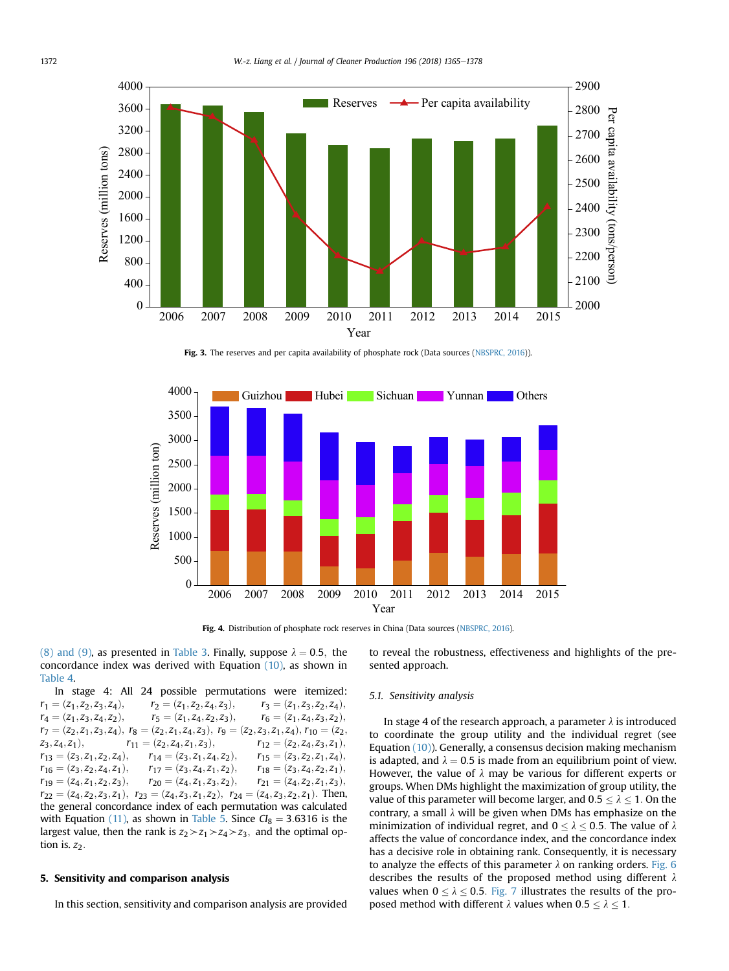<span id="page-7-0"></span>

Fig. 3. The reserves and per capita availability of phosphate rock (Data sources [\(NBSPRC, 2016\)](#page-12-0)).



Fig. 4. Distribution of phosphate rock reserves in China (Data sources ([NBSPRC, 2016](#page-12-0)).

[\(8\) and \(9\),](#page-5-0) as presented in [Table 3](#page-8-0). Finally, suppose  $\lambda = 0.5$ , the concordance index was derived with Equation  $(10)$ , as shown in [Table 4.](#page-8-0)

In stage 4: All 24 possible permutations were itemized:  $r_1 = (z_1, z_2, z_3, z_4),$ <br>  $r_2 = (z_1, z_2, z_4, z_3),$ <br>  $r_3 = (z_1, z_3, z_2, z_4),$ <br>  $r_4 = (z_1, z_3, z_4, z_2),$ <br>  $r_5 = (z_1, z_4, z_2, z_3),$ <br>  $r_6 = (z_1, z_4, z_3, z_2),$  $r_4 = (z_1, z_3, z_4, z_2),$   $r_5 = (z_1, z_4, z_2, z_3),$   $r_6 = (z_1, z_4, z_3, z_2),$ <br> $r_7 = (z_2, z_3, z_4, z_5),$   $r_8 = (z_3, z_4, z_5),$   $r_9 = (z_4, z_4, z_5),$   $r_{10} = (z_4, z_5, z_5),$   $r_{11} = (z_5, z_6, z_7),$   $r_{12} = (z_5, z_6, z_7),$  $r_7 = (z_2, z_1, z_3, z_4), r_8 = (z_2, z_1, z_4, z_3), r_9 = (z_2, z_3, z_1, z_4), r_{10} = (z_2, z_3, z_1),$  $z_3, z_4, z_1),$ <br>  $r_{11} = (z_2, z_4, z_1, z_3),$ <br>  $r_{12} = (z_2, z_4, z_3, z_1),$ <br>  $r_{14} = (z_3, z_1, z_4, z_2),$ <br>  $r_{15} = (z_3, z_2, z_1, z_4),$  $\begin{array}{llll} r_{13}=(z_3,z_1,z_2,z_4),\quad & r_{14}=(z_3,z_1,z_4,z_2),\quad & r_{15}=(z_3,z_2,z_1,z_4),\\ r_{16}=(z_3,z_2,z_4,z_1),\quad & r_{17}=(z_3,z_4,z_1,z_2),\quad & r_{18}=(z_3,z_4,z_2,z_1), \end{array}$  $r_{16} = (z_3, z_2, z_4, z_1),$   $r_{17} = (z_3, z_4, z_1, z_2),$   $r_{18} = (z_3, z_4, z_2, z_1),$ <br>  $r_{19} = (z_4, z_1, z_2, z_3),$   $r_{20} = (z_4, z_1, z_3, z_2),$   $r_{21} = (z_4, z_2, z_1, z_3),$  $r_{19} = (z_4, z_1, z_2, z_3),$   $r_{20} = (z_4, z_1, z_3, z_2),$   $r_{21} = (z_4, z_2, z_1, z_3),$ <br> $r_{22} = (z_4, z_2, z_1, z_3),$   $r_{23} = (z_4, z_2, z_1, z_3),$  Then  $r_{22} = (z_4, z_2, z_3, z_1), r_{23} = (z_4, z_3, z_1, z_2), r_{24} = (z_4, z_3, z_2, z_1).$  Then, the general concordance index of each permutation was calculated the general concordance index of each permutation was calculated with Equation [\(11\)](#page-5-0), as shown in [Table 5](#page-9-0). Since  $Cl_8 = 3.6316$  is the largest value, then the rank is  $z_2 \geq z_1 \geq z_4 \geq z_3$ , and the optimal option is.  $z_2$ .

#### 5. Sensitivity and comparison analysis

In this section, sensitivity and comparison analysis are provided

to reveal the robustness, effectiveness and highlights of the presented approach.

## 5.1. Sensitivity analysis

In stage 4 of the research approach, a parameter  $\lambda$  is introduced to coordinate the group utility and the individual regret (see Equation [\(10\)](#page-5-0)). Generally, a consensus decision making mechanism is adapted, and  $\lambda = 0.5$  is made from an equilibrium point of view. However, the value of  $\lambda$  may be various for different experts or groups. When DMs highlight the maximization of group utility, the value of this parameter will become larger, and  $0.5 \le \lambda \le 1$ . On the contrary, a small  $\lambda$  will be given when DMs has emphasize on the minimization of individual regret, and  $0 \le \lambda \le 0.5$ . The value of  $\lambda$ affects the value of concordance index, and the concordance index has a decisive role in obtaining rank. Consequently, it is necessary to analyze the effects of this parameter  $\lambda$  on ranking orders. [Fig. 6](#page-9-0) describes the results of the proposed method using different  $\lambda$ values when  $0 \le \lambda \le 0.5$ . [Fig. 7](#page-10-0) illustrates the results of the proposed method with different  $\lambda$  values when  $0.5 \le \lambda \le 1$ .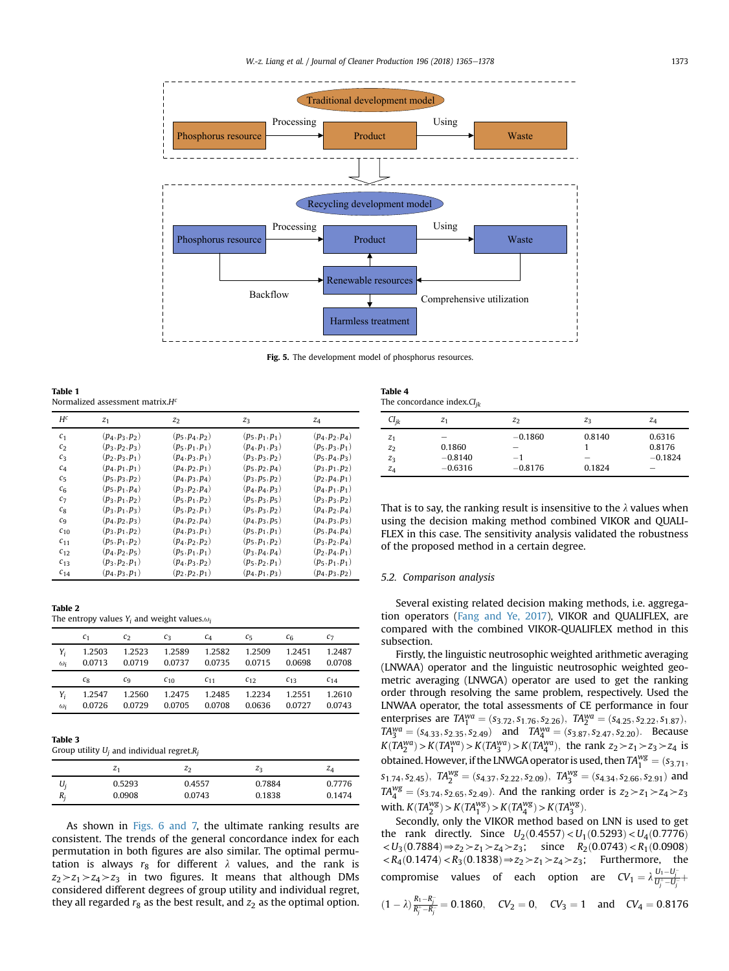<span id="page-8-0"></span>

Fig. 5. The development model of phosphorus resources.

Table 1 Normalized assessment matrix. $H^c$ 

| $H^c$              | z <sub>1</sub>    | $z_2$             | $Z_3$             | $z_4$             |
|--------------------|-------------------|-------------------|-------------------|-------------------|
| c <sub>1</sub>     | $(p_4, p_3, p_2)$ | $(p_5, p_4, p_2)$ | $(p_5, p_1, p_1)$ | $(p_4, p_2, p_4)$ |
| c <sub>2</sub>     | $(p_3, p_2, p_3)$ | $(p_5, p_1, p_1)$ | $(p_4, p_1, p_3)$ | $(p_5, p_3, p_1)$ |
| $c_3$              | $(p_2, p_3, p_1)$ | $(p_4, p_3, p_1)$ | $(p_3, p_3, p_2)$ | $(p_5, p_4, p_3)$ |
| C <sub>4</sub>     | $(p_4, p_1, p_1)$ | $(p_4, p_2, p_1)$ | $(p_5, p_2, p_4)$ | $(p_3, p_1, p_2)$ |
| $C_{\overline{2}}$ | $(p_5, p_3, p_2)$ | $(p_4, p_3, p_4)$ | $(p_3, p_5, p_2)$ | $(p_2, p_4, p_1)$ |
| c <sub>6</sub>     | $(p_5, p_1, p_4)$ | $(p_3, p_2, p_4)$ | $(p_4, p_4, p_3)$ | $(p_4, p_1, p_1)$ |
| $c_7$              | $(p_3, p_1, p_2)$ | $(p_5, p_1, p_2)$ | $(p_5, p_3, p_5)$ | $(p_3, p_3, p_2)$ |
| $c_8$              | $(p_3, p_1, p_3)$ | $(p_5, p_2, p_1)$ | $(p_5, p_3, p_2)$ | $(p_4, p_2, p_4)$ |
| $c_{9}$            | $(p_4, p_2, p_3)$ | $(p_4, p_2, p_4)$ | $(p_4, p_3, p_5)$ | $(p_4, p_3, p_3)$ |
| $c_{10}$           | $(p_3, p_1, p_2)$ | $(p_4, p_3, p_1)$ | $(p_5, p_1, p_1)$ | $(p_5, p_4, p_4)$ |
| $c_{11}$           | $(p_5, p_1, p_2)$ | $(p_4, p_2, p_2)$ | $(p_5, p_1, p_2)$ | $(p_3, p_2, p_4)$ |
| $c_{12}$           | $(p_4, p_2, p_5)$ | $(p_5, p_1, p_1)$ | $(p_3, p_4, p_4)$ | $(p_2, p_4, p_1)$ |
| $c_{13}$           | $(p_3, p_2, p_1)$ | $(p_4, p_3, p_2)$ | $(p_5, p_2, p_1)$ | $(p_5, p_1, p_1)$ |
| $c_{14}$           | $(p_4, p_3, p_1)$ | $(p_2, p_2, p_1)$ | $(p_4, p_1, p_3)$ | $(p_4, p_3, p_2)$ |

| IAVIC 4          |  |  |  |
|------------------|--|--|--|
| The entrony vali |  |  |  |

Table 2

ues Y<sub>i</sub> and weight values. $\omega$ 

|            | c <sub>1</sub> | $c_2$        | $c_3$    | $c_4$    | $c_{5}$  | $c_{6}$  | $c_{7}$  |
|------------|----------------|--------------|----------|----------|----------|----------|----------|
| Y,         | 1.2503         | 1.2523       | 1.2589   | 1.2582   | 1.2509   | 1.2451   | 1.2487   |
| $\omega_i$ | 0.0713         | 0.0719       | 0.0737   | 0.0735   | 0.0715   | 0.0698   | 0.0708   |
|            | $c_8$          | $c_{\alpha}$ | $c_{10}$ | $C_{11}$ | $c_{12}$ | $C_{13}$ | $C_{14}$ |
| Y,         | 1.2547         | 1.2560       | 1.2475   | 1.2485   | 1.2234   | 1.2551   | 1.2610   |
| $\omega_i$ | 0.0726         | 0.0729       | 0.0705   | 0.0708   | 0.0636   | 0.0727   | 0.0743   |

#### Table 3

Group utility  $U_i$  and individual regret. $R_i$ 

|       | $z_1$  | z <sub>2</sub> | $z_3$  | $z_{\scriptscriptstyle{A}}$ |
|-------|--------|----------------|--------|-----------------------------|
| Ui    | 0.5293 | 0.4557         | 0.7884 | 0.7776                      |
| $R_i$ | 0.0908 | 0.0743         | 0.1838 | 0.1474                      |

As shown in [Figs. 6 and 7,](#page-9-0) the ultimate ranking results are consistent. The trends of the general concordance index for each permutation in both figures are also similar. The optimal permutation is always  $r_8$  for different  $\lambda$  values, and the rank is  $z_2 \geq z_1 \geq z_4 \geq z_3$  in two figures. It means that although DMs considered different degrees of group utility and individual regret, they all regarded  $r_8$  as the best result, and  $z_2$  as the optimal option.

| Table 4                          |  |
|----------------------------------|--|
| The concordance index. $CI_{ik}$ |  |

| $CI_{ik}$ | $z_1$     | Z <sub>2</sub> | $Z_3$                    | $Z_4$                    |
|-----------|-----------|----------------|--------------------------|--------------------------|
| $z_1$     | _         | $-0.1860$      | 0.8140                   | 0.6316                   |
| $z_2$     | 0.1860    | -              |                          | 0.8176                   |
| $z_3$     | $-0.8140$ | $-1$           | $\overline{\phantom{a}}$ | $-0.1824$                |
| $z_4$     | $-0.6316$ | $-0.8176$      | 0.1824                   | $\overline{\phantom{a}}$ |

That is to say, the ranking result is insensitive to the  $\lambda$  values when using the decision making method combined VIKOR and QUALI-FLEX in this case. The sensitivity analysis validated the robustness of the proposed method in a certain degree.

## 5.2. Comparison analysis

Several existing related decision making methods, i.e. aggregation operators [\(Fang and Ye, 2017](#page-12-0)), VIKOR and QUALIFLEX, are compared with the combined VIKOR-QUALIFLEX method in this subsection.

Firstly, the linguistic neutrosophic weighted arithmetic averaging (LNWAA) operator and the linguistic neutrosophic weighted geometric averaging (LNWGA) operator are used to get the ranking order through resolving the same problem, respectively. Used the LNWAA operator, the total assessments of CE performance in four enterprises are  $TA_1^{wa} = (s_{3.72}, s_{1.76}, s_{2.26})$ ,  $TA_2^{wa} = (s_{4.25}, s_{2.22}, s_{1.87})$ ;<br> $TA_3^{wa} = (s_{1.25}, s_{2.22}, s_{1.87})$  $TA_{3}^{wa} = (s_{4,33}, s_{2,35}, s_{2,49})$  and  $TA_{4}^{wa} = (s_{3,87}, s_{2,47}, s_{2,20})$ . Because  $K(TA_1^{wa}) > K(TA_1^{wa}) > K(TA_4^{wa}) > K(TA_4^{wa})$ , the rank  $z_2 > z_1 > z_3 > z_4$  is obtained. However, if the LNWGA operator is used, then  $TA_1^{wg} = (s_{3.71};$  $s_{1.74}, s_{2.45}$ ),  $T A_2^{wg} = (s_{4.37}, s_{2.22}, s_{2.09})$ ,  $T A_3^{wg} = (s_{4.34}, s_{2.66}, s_{2.91})$  and  $T A_4^{wg} = (s_{3.74}, s_{2.65}, s_{2.49})$ . And the ranking order is  $z_2 \geq z_1 \geq z_4 \geq z_3$ <br> $\therefore$   $K T A_{3.9}^{wg} = K T A_{3.9}^{wg}$ ,  $K T A_{3.9}^{wg} = K T$ with.  $K(TA_2^{wg}) > K(TA_4^{wg}) > K(TA_4^{wg}) > K(TA_5^{wg})$ .<br>Socondly, only the VIVOP mothod based.

Secondly, only the VIKOR method based on LNN is used to get the rank directly. Since  $U_2(0.4557) < U_1(0.5293) < U_4(0.7776)$  $\langle U_3(0.7884) \Rightarrow z_2 \rangle \langle z_1 \rangle \langle z_4 \rangle \langle z_3 \rangle$  since  $R_2(0.0743) \langle R_1(0.0908) \rangle$  $R_4(0.1474) < R_3(0.1838) \Rightarrow z_2 > z_1 > z_4 > z_3$ ; Furthermore, the compromise values of each option are  $CV_1 = \lambda \frac{U_1 - U_j^-}{U_j^+ - U_j^-}$  $(1 - \lambda) \frac{R_1 - R_j}{R_j^+ - R_j^-} = 0.1860, \quad CV_2 = 0, \quad CV_3 = 1 \quad \text{and} \quad CV_4 = 0.8176$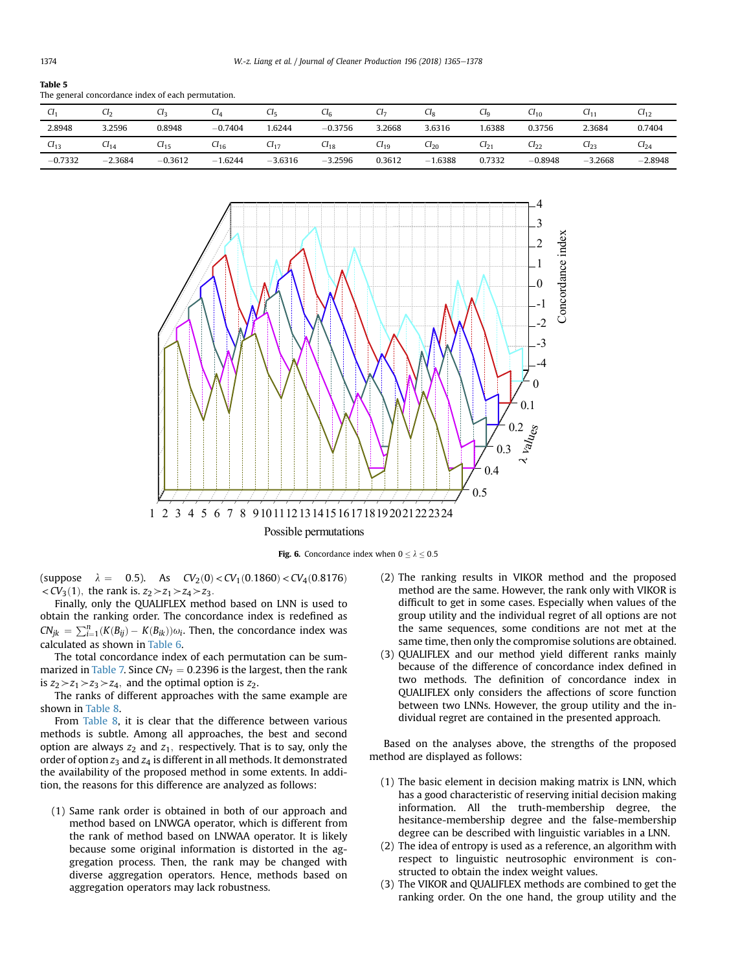#### <span id="page-9-0"></span>Table 5

The general concordance index of each permutation.

| U         | $U_2$     | J۶        | ∪⊿        | U5        | Uк        | CI <sub>7</sub> | СIg      | Cl <sub>Q</sub> | $U_{10}$  | $C11 -$   | $U_{12}$  |
|-----------|-----------|-----------|-----------|-----------|-----------|-----------------|----------|-----------------|-----------|-----------|-----------|
| 2.8948    | 3.2596    | 0.8948    | $-0.7404$ | .6244     | $-0.3756$ | 3.2668          | 3.6316   | 1.6388          | 0.3756    | 2.3684    | 0.7404    |
| $Cl_{13}$ | $Cl_{14}$ | $1_{15}$  | $U_{16}$  | C117      | $U_{18}$  | $Cl_{19}$       | $U_{20}$ | $Cl_{21}$       | $U_{22}$  | $Cl_{23}$ | $U_{24}$  |
| $-0.7332$ | $-2.3684$ | $-0.3612$ | $-1.6244$ | $-3.6316$ | $-3.2596$ | 0.3612          | 1.6388   | 0.7332          | $-0.8948$ | $-3.2668$ | $-2.8948$ |



Fig. 6. Concordance index when  $0 < \lambda < 0.5$ 

(suppose  $\lambda = 0.5$ ). As  $CV_2(0) < CV_1(0.1860) < CV_4(0.8176)$  $\langle CV_3(1), \text{ the rank is. } z_2 \rangle \langle z_1 \rangle \langle z_4 \rangle \langle z_3 \rangle$ .

Finally, only the QUALIFLEX method based on LNN is used to obtain the ranking order. The concordance index is redefined as  $CN_{jk} = \sum_{i=1}^{n} (K(B_{ij}) - K(B_{ik})) \omega_i$ . Then, the concordance index was calculated as shown in [Table 6](#page-10-0).

The total concordance index of each permutation can be sum-marized in [Table 7.](#page-10-0) Since  $CN_7 = 0.2396$  is the largest, then the rank is  $z_2 \geq z_1 \geq z_3 \geq z_4$ , and the optimal option is  $z_2$ .

The ranks of different approaches with the same example are shown in [Table 8](#page-10-0).

From [Table 8](#page-10-0), it is clear that the difference between various methods is subtle. Among all approaches, the best and second option are always  $z_2$  and  $z_1$ , respectively. That is to say, only the order of option  $z_3$  and  $z_4$  is different in all methods. It demonstrated the availability of the proposed method in some extents. In addition, the reasons for this difference are analyzed as follows:

(1) Same rank order is obtained in both of our approach and method based on LNWGA operator, which is different from the rank of method based on LNWAA operator. It is likely because some original information is distorted in the aggregation process. Then, the rank may be changed with diverse aggregation operators. Hence, methods based on aggregation operators may lack robustness.

- (2) The ranking results in VIKOR method and the proposed method are the same. However, the rank only with VIKOR is difficult to get in some cases. Especially when values of the group utility and the individual regret of all options are not the same sequences, some conditions are not met at the same time, then only the compromise solutions are obtained.
- (3) QUALIFLEX and our method yield different ranks mainly because of the difference of concordance index defined in two methods. The definition of concordance index in QUALIFLEX only considers the affections of score function between two LNNs. However, the group utility and the individual regret are contained in the presented approach.

Based on the analyses above, the strengths of the proposed method are displayed as follows:

- (1) The basic element in decision making matrix is LNN, which has a good characteristic of reserving initial decision making information. All the truth-membership degree, the hesitance-membership degree and the false-membership degree can be described with linguistic variables in a LNN.
- (2) The idea of entropy is used as a reference, an algorithm with respect to linguistic neutrosophic environment is constructed to obtain the index weight values.
- (3) The VIKOR and QUALIFLEX methods are combined to get the ranking order. On the one hand, the group utility and the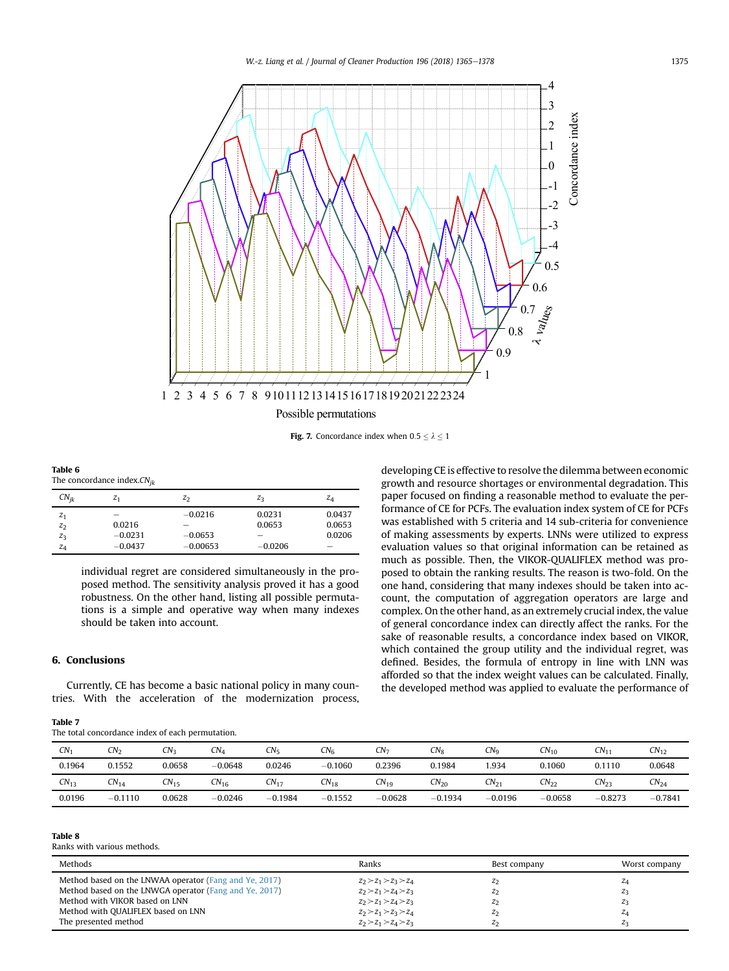<span id="page-10-0"></span>

**Fig. 7.** Concordance index when  $0.5 \le \lambda \le 1$ 

| Table 6                          |  |
|----------------------------------|--|
| The concordance index, $CN_{ik}$ |  |

| $CN_{ik}$                                 | $\cdot$<br>$z_1$                                             | Z <sub>2</sub>                            | $Z_3$                         | $Z_4$                           |
|-------------------------------------------|--------------------------------------------------------------|-------------------------------------------|-------------------------------|---------------------------------|
| z <sub>1</sub><br>$z_2$<br>$z_3$<br>$z_4$ | $\overline{\phantom{a}}$<br>0.0216<br>$-0.0231$<br>$-0.0437$ | $-0.0216$<br>-<br>$-0.0653$<br>$-0.00653$ | 0.0231<br>0.0653<br>$-0.0206$ | 0.0437<br>0.0653<br>0.0206<br>- |

individual regret are considered simultaneously in the proposed method. The sensitivity analysis proved it has a good robustness. On the other hand, listing all possible permutations is a simple and operative way when many indexes should be taken into account.

## 6. Conclusions

Currently, CE has become a basic national policy in many countries. With the acceleration of the modernization process,

| ×<br>L<br>п<br>ш | г |  |
|------------------|---|--|
|                  |   |  |

The total concordance index of each permutation.

developing CE is effective to resolve the dilemma between economic growth and resource shortages or environmental degradation. This paper focused on finding a reasonable method to evaluate the performance of CE for PCFs. The evaluation index system of CE for PCFs was established with 5 criteria and 14 sub-criteria for convenience of making assessments by experts. LNNs were utilized to express evaluation values so that original information can be retained as much as possible. Then, the VIKOR-QUALIFLEX method was proposed to obtain the ranking results. The reason is two-fold. On the one hand, considering that many indexes should be taken into account, the computation of aggregation operators are large and complex. On the other hand, as an extremely crucial index, the value of general concordance index can directly affect the ranks. For the sake of reasonable results, a concordance index based on VIKOR, which contained the group utility and the individual regret, was defined. Besides, the formula of entropy in line with LNN was afforded so that the index weight values can be calculated. Finally, the developed method was applied to evaluate the performance of

| $CN-$     | CN <sub>2</sub> | CN <sub>3</sub> | CN <sub>a</sub> | $CN_{5}$  | CN <sub>6</sub> | CN-       | $CN_{\rm R}$ | CN <sub>0</sub>    | $CN_{10}$ | $CN_1$    | $CN_{12}$ |
|-----------|-----------------|-----------------|-----------------|-----------|-----------------|-----------|--------------|--------------------|-----------|-----------|-----------|
| 0.1964    | 0.1552          | 0.0658          | $-0.0648$       | 0.0246    | $-0.1060$       | 0.2396    | 0.1984       | 1.934              | 0.1060    | 0.1110    | 0.0648    |
| $CN_{13}$ | $CN_{14}$       | $CN_{15}$       | $CN_{16}$       | $CN_{17}$ | $CN_{18}$       | $CN_{19}$ | $CN_{20}$    | $\textit{CN}_{21}$ | $CN_{22}$ | $CN_{23}$ | $CN_{24}$ |
| 0.0196    | $-0.1110$       | 0.0628          | $-0.0246$       | $-0.1984$ | $-0.1552$       | $-0.0628$ | $-0.1934$    | $-0.0196$          | $-0.0658$ | $-0.8273$ | $-0.7841$ |

## Table 8

Ranks with various methods.

| Methods                                                | Ranks                   | Best company   | Worst company |
|--------------------------------------------------------|-------------------------|----------------|---------------|
| Method based on the LNWAA operator (Fang and Ye, 2017) | $z_2 > z_1 > z_3 > z_4$ | z <sub>2</sub> | 44            |
| Method based on the LNWGA operator (Fang and Ye, 2017) | $z_2 > z_1 > z_4 > z_3$ | z <sub>2</sub> | 23            |
| Method with VIKOR based on LNN                         | $z_2 > z_1 > z_4 > z_3$ | Z <sub>2</sub> | $Z_3$         |
| Method with QUALIFLEX based on LNN                     | $z_2 > z_1 > z_3 > z_4$ | Z <sub>2</sub> | 24            |
| The presented method                                   | $z_2 > z_1 > z_4 > z_3$ | z <sub>2</sub> |               |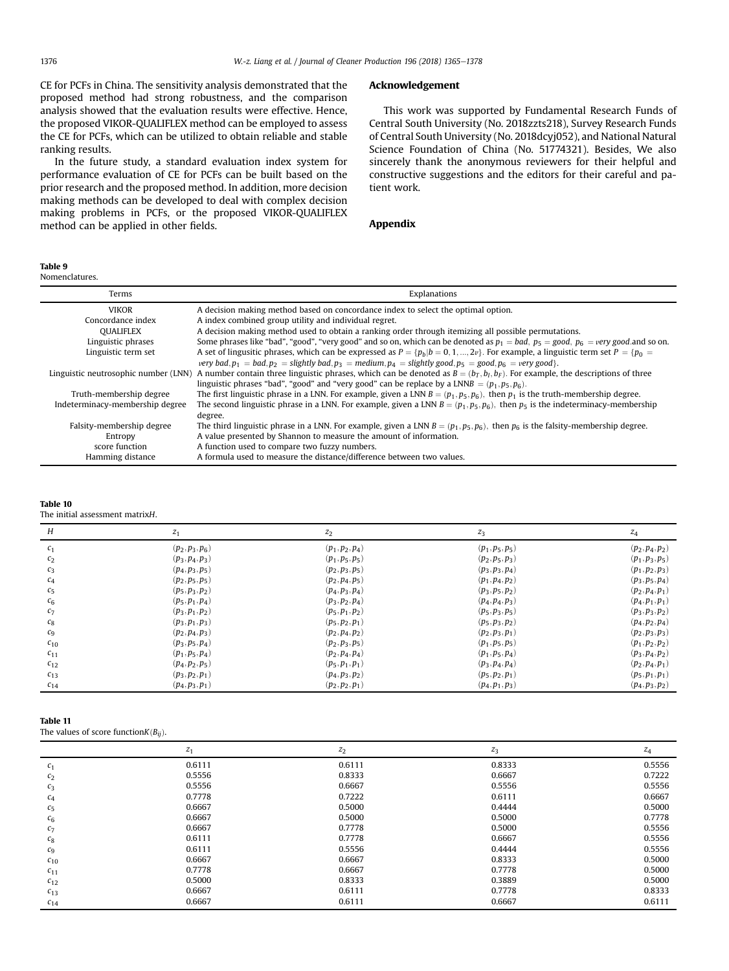<span id="page-11-0"></span>CE for PCFs in China. The sensitivity analysis demonstrated that the proposed method had strong robustness, and the comparison analysis showed that the evaluation results were effective. Hence, the proposed VIKOR-QUALIFLEX method can be employed to assess the CE for PCFs, which can be utilized to obtain reliable and stable ranking results.

In the future study, a standard evaluation index system for performance evaluation of CE for PCFs can be built based on the prior research and the proposed method. In addition, more decision making methods can be developed to deal with complex decision making problems in PCFs, or the proposed VIKOR-QUALIFLEX method can be applied in other fields.

Nomenclatures.

## Terms Explanations VIKOR A decision making method based on concordance index to select the optimal option. Concordance index <br>  $\overline{A}$  index combined group utility and individual regret.<br>  $\overline{O}$  (DIALIFLEX <br>  $\overline{A}$  decision making method used to obtain a ranking or A decision making method used to obtain a ranking order through itemizing all possible permutations. Linguistic phrases Some phrases like "bad", "good", "very good" and so on, which can be denoted as  $p_1 = bad$ ,  $p_5 = good$ ,  $p_6 = very good$  and so on.<br>Linguistic term set  $P = \{p_0 = A, p_2, p_3, p_4, p_5, p_6, p_7, p_8, p_6, p_7, p_8, p_9, p_9, p_9, p$ Linguistic term set  $A$  set of lingusitic phrases, which can be expressed as  $P = \{p_b | b = 0, 1, ..., 2v\}$ . For example, a linguistic term set  $P = \{p_0 = 0, ..., p_k\}$ very bad;  $p_1 =$  bad;  $p_2 =$  slightly bad;  $p_3 =$  medium;  $p_4 =$  slightly good;  $p_5 =$  good;  $p_6 =$  very good}.<br>A number contain three linguistic phrases, which can be denoted as  $R = (h_1, h_2)$ . For example, Linguistic neutrosophic number (LNN) A number contain three linguistic phrases, which can be denoted as  $B = (b_T, b_I, b_F)$ . For example, the descriptions of three  $\frac{b_T}{b_T}$  is  $\frac{b_T}{b_T}$  is  $\frac{b_T}{b_T}$  inquistic phrases "b linguistic phrases "bad", "good" and "very good" can be replace by a LNNB =  $(p_1, p_5, p_6)$ . Truth-membership degree The first linguistic phrase in a LNN. For example, given a LNN  $B = (p_1, p_5, p_6)$ , then  $p_1$  is the truth-membership degree.<br>Indeterminacy-membership degree The second linguistic phrase in a LNN. F The second linguistic phrase in a LNN. For example, given a LNN  $B = (p_1, p_5, p_6)$ , then  $p_5$  is the indeterminacy-membership

degree. Falsity-membership degree The third linguistic phrase in a LNN. For example, given a LNN  $B = (p_1, p_5, p_6)$ , then  $p_6$  is the falsity-membership degree.<br>Entropy A value presented by Shannon to measure the amount of inform Entropy **A** value presented by Shannon to measure the amount of information.<br>
Score function **A** function used to compare two fuzzy numbers. score function A function used to compare two fuzzy numbers.<br>Hamming distance A formula used to measure the distance/difference A formula used to measure the distance/difference between two values.

| Table |  |
|-------|--|
|-------|--|

The initial assessment matrixH.

| H              | $z_1$             | $z_2$             | $z_3$             | $z_4$             |
|----------------|-------------------|-------------------|-------------------|-------------------|
| c <sub>1</sub> | $(p_2, p_3, p_6)$ | $(p_1, p_2, p_4)$ | $(p_1, p_5, p_5)$ | $(p_2, p_4, p_2)$ |
| $c_2$          | $(p_3, p_4, p_3)$ | $(p_1, p_5, p_5)$ | $(p_2, p_5, p_3)$ | $(p_1, p_3, p_5)$ |
| $c_3$          | $(p_4, p_3, p_5)$ | $(p_2, p_3, p_5)$ | $(p_3, p_3, p_4)$ | $(p_1, p_2, p_3)$ |
| $c_4$          | $(p_2, p_5, p_5)$ | $(p_2, p_4, p_5)$ | $(p_1, p_4, p_2)$ | $(p_3, p_5, p_4)$ |
| c <sub>5</sub> | $(p_5, p_3, p_2)$ | $(p_4, p_3, p_4)$ | $(p_3, p_5, p_2)$ | $(p_2, p_4, p_1)$ |
| c <sub>6</sub> | $(p_5, p_1, p_4)$ | $(p_3, p_2, p_4)$ | $(p_4, p_4, p_3)$ | $(p_4, p_1, p_1)$ |
| $c_7$          | $(p_3, p_1, p_2)$ | $(p_5, p_1, p_2)$ | $(p_5, p_3, p_5)$ | $(p_3, p_3, p_2)$ |
| $c_8$          | $(p_3, p_1, p_3)$ | $(p_5, p_2, p_1)$ | $(p_5, p_3, p_2)$ | $(p_4, p_2, p_4)$ |
| $c_9$          | $(p_2, p_4, p_3)$ | $(p_2, p_4, p_2)$ | $(p_2, p_3, p_1)$ | $(p_2, p_3, p_3)$ |
| $c_{10}$       | $(p_3, p_5, p_4)$ | $(p_2, p_3, p_5)$ | $(p_1, p_5, p_5)$ | $(p_1, p_2, p_2)$ |
| $c_{11}$       | $(p_1, p_5, p_4)$ | $(p_2, p_4, p_4)$ | $(p_1, p_5, p_4)$ | $(p_3, p_4, p_2)$ |
| $c_{12}$       | $(p_4, p_2, p_5)$ | $(p_5, p_1, p_1)$ | $(p_3, p_4, p_4)$ | $(p_2, p_4, p_1)$ |
| $c_{13}$       | $(p_3, p_2, p_1)$ | $(p_4, p_3, p_2)$ | $(p_5, p_2, p_1)$ | $(p_5, p_1, p_1)$ |
| $c_{14}$       | $(p_4, p_3, p_1)$ | $(p_2, p_2, p_1)$ | $(p_4, p_1, p_3)$ | $(p_4, p_3, p_2)$ |

## Table 11

The values of score function $K(B_{ii})$ .

|                | $z_1$  | $z_2$  | $z_3$  | $z_4$  |
|----------------|--------|--------|--------|--------|
| c <sub>1</sub> | 0.6111 | 0.6111 | 0.8333 | 0.5556 |
| c <sub>2</sub> | 0.5556 | 0.8333 | 0.6667 | 0.7222 |
| $c_3$          | 0.5556 | 0.6667 | 0.5556 | 0.5556 |
| $c_4$          | 0.7778 | 0.7222 | 0.6111 | 0.6667 |
| $c_{5}$        | 0.6667 | 0.5000 | 0.4444 | 0.5000 |
| $c_6$          | 0.6667 | 0.5000 | 0.5000 | 0.7778 |
| $c_7$          | 0.6667 | 0.7778 | 0.5000 | 0.5556 |
| $c_8$          | 0.6111 | 0.7778 | 0.6667 | 0.5556 |
| $c_9$          | 0.6111 | 0.5556 | 0.4444 | 0.5556 |
| $c_{10}$       | 0.6667 | 0.6667 | 0.8333 | 0.5000 |
| $c_{11}$       | 0.7778 | 0.6667 | 0.7778 | 0.5000 |
| $c_{12}$       | 0.5000 | 0.8333 | 0.3889 | 0.5000 |
| $c_{13}$       | 0.6667 | 0.6111 | 0.7778 | 0.8333 |
| $c_{14}$       | 0.6667 | 0.6111 | 0.6667 | 0.6111 |

## Acknowledgement

This work was supported by Fundamental Research Funds of Central South University (No. 2018zzts218), Survey Research Funds of Central South University (No. 2018dcyj052), and National Natural Science Foundation of China (No. 51774321). Besides, We also sincerely thank the anonymous reviewers for their helpful and constructive suggestions and the editors for their careful and patient work.

## Appendix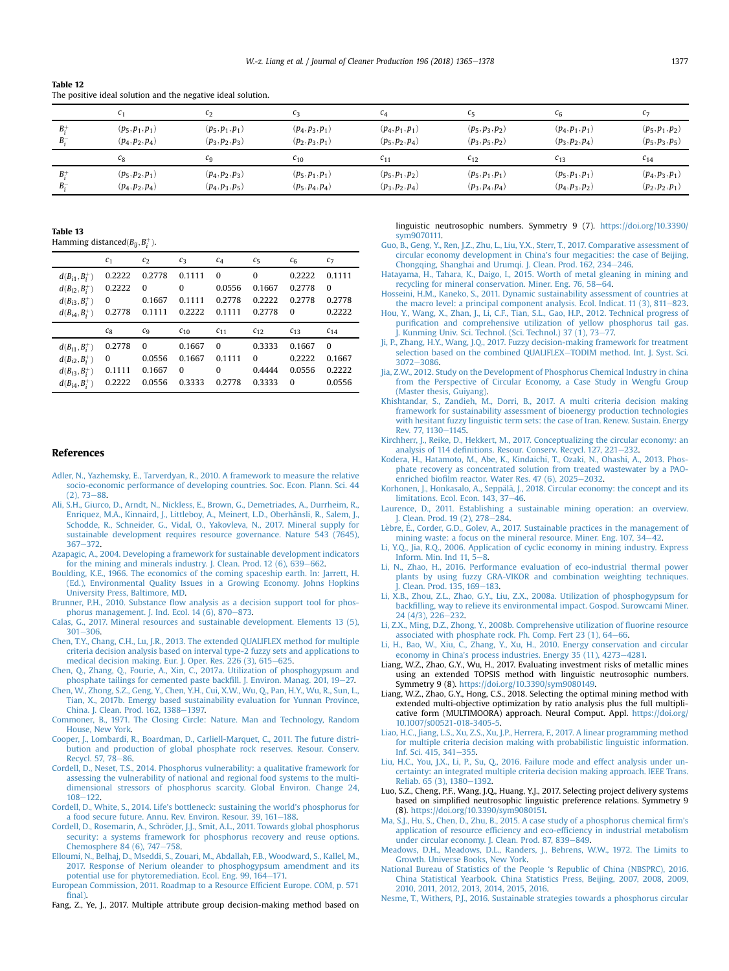| - Table 12 |                                                              |  |
|------------|--------------------------------------------------------------|--|
|            | The positive ideal solution and the negative ideal solution. |  |

|             | c <sub>1</sub>                         | $c_{2}$                                | c <sub>3</sub>                         | $c_4$                                  | $C_{\overline{2}}$                     | $c_{6}$                                | C <sub>7</sub>                         |
|-------------|----------------------------------------|----------------------------------------|----------------------------------------|----------------------------------------|----------------------------------------|----------------------------------------|----------------------------------------|
| $B^+$<br>В÷ | $(p_5, p_1, p_1)$<br>$(p_4, p_2, p_4)$ | $(p_5, p_1, p_1)$<br>$(p_3, p_2, p_3)$ | $(p_4, p_3, p_1)$<br>$(p_2, p_3, p_1)$ | $(p_4, p_1, p_1)$<br>$(p_5, p_2, p_4)$ | $(p_5, p_3, p_2)$<br>$(p_3, p_5, p_2)$ | $(p_4, p_1, p_1)$<br>$(p_3, p_2, p_4)$ | $(p_5, p_1, p_2)$<br>$(p_5, p_3, p_5)$ |
|             | $c_8$                                  | C <sub>9</sub>                         | $c_{10}$                               | C <sub>11</sub>                        | $c_{12}$                               | $c_{13}$                               | $c_{14}$                               |
|             |                                        |                                        |                                        |                                        |                                        |                                        |                                        |

Table 13

<span id="page-12-0"></span> $T<sub>1</sub>$ 

| Hamming distance $d(B_{ii}, B_{i}^{+})$ . |                |                |                |          |          |                |          |
|-------------------------------------------|----------------|----------------|----------------|----------|----------|----------------|----------|
|                                           | c <sub>1</sub> | c <sub>2</sub> | c <sub>3</sub> | $c_4$    | $c_{5}$  | c <sub>6</sub> | $c_7$    |
| $d(B_{i1}, B_{i}^{+})$                    | 0.2222         | 0.2778         | 0.1111         | $\Omega$ | $\Omega$ | 0.2222         | 0.1111   |
| $d(B_{i2}, B_{i}^{+})$                    | 0.2222         | $\Omega$       | $\Omega$       | 0.0556   | 0.1667   | 0.2778         | $\Omega$ |
| $d(B_{i3}, B_{i}^{+})$                    | 0              | 0.1667         | 0.1111         | 0.2778   | 0.2222   | 0.2778         | 0.2778   |
| $d(B_{i4}, B_{i}^{+})$                    | 0.2778         | 0.1111         | 0.2222         | 0.1111   | 0.2778   | $\Omega$       | 0.2222   |
|                                           |                |                |                |          |          |                |          |
|                                           | $c_8$          | C <sub>9</sub> | $c_{10}$       | $c_{11}$ | $c_{12}$ | $C_{13}$       | $c_{14}$ |
| $d(B_{i1}, B_{i}^{+})$                    | 0.2778         | $\Omega$       | 0.1667         | $\Omega$ | 0.3333   | 0.1667         | $\Omega$ |
| $d(B_{i2}, B_{i}^{+})$                    | 0              | 0.0556         | 0.1667         | 0.1111   | $\Omega$ | 0.2222         | 0.1667   |
| $d(B_{i3}, B_{i}^{+})$                    | 0.1111         | 0.1667         | $\Omega$       | 0        | 0.4444   | 0.0556         | 0.2222   |

#### References

- [Adler, N., Yazhemsky, E., Tarverdyan, R., 2010. A framework to measure the relative](http://refhub.elsevier.com/S0959-6526(18)31797-9/sref1) [socio-economic performance of developing countries. Soc. Econ. Plann. Sci. 44](http://refhub.elsevier.com/S0959-6526(18)31797-9/sref1)  $(2)$ , 73 $-88$ .
- [Ali, S.H., Giurco, D., Arndt, N., Nickless, E., Brown, G., Demetriades, A., Durrheim, R.,](http://refhub.elsevier.com/S0959-6526(18)31797-9/sref2) [Enriquez, M.A., Kinnaird, J., Littleboy, A., Meinert, L.D., Oberh](http://refhub.elsevier.com/S0959-6526(18)31797-9/sref2)ä[nsli, R., Salem, J.,](http://refhub.elsevier.com/S0959-6526(18)31797-9/sref2) [Schodde, R., Schneider, G., Vidal, O., Yakovleva, N., 2017. Mineral supply for](http://refhub.elsevier.com/S0959-6526(18)31797-9/sref2) [sustainable development requires resource governance. Nature 543 \(7645\),](http://refhub.elsevier.com/S0959-6526(18)31797-9/sref2) [367](http://refhub.elsevier.com/S0959-6526(18)31797-9/sref2)-[372.](http://refhub.elsevier.com/S0959-6526(18)31797-9/sref2)
- [Azapagic, A., 2004. Developing a framework for sustainable development indicators](http://refhub.elsevier.com/S0959-6526(18)31797-9/sref3) for the mining and minerals industry. J. Clean. Prod.  $12$  (6),  $639-662$  $639-662$ .
- [Boulding, K.E., 1966. The economics of the coming spaceship earth. In: Jarrett, H.](http://refhub.elsevier.com/S0959-6526(18)31797-9/sref4) [\(Ed.\), Environmental Quality Issues in a Growing Economy. Johns Hopkins](http://refhub.elsevier.com/S0959-6526(18)31797-9/sref4) [University Press, Baltimore, MD.](http://refhub.elsevier.com/S0959-6526(18)31797-9/sref4)
- Brunner, P.H., 2010. Substance flow analysis as a decision support tool for phos-<br>[phorus management. J. Ind. Ecol. 14 \(6\), 870](http://refhub.elsevier.com/S0959-6526(18)31797-9/sref5)–[873.](http://refhub.elsevier.com/S0959-6526(18)31797-9/sref5)
- [Calas, G., 2017. Mineral resources and sustainable development. Elements 13 \(5\),](http://refhub.elsevier.com/S0959-6526(18)31797-9/sref6)  $301 - 306$  $301 - 306$
- [Chen, T.Y., Chang, C.H., Lu, J.R., 2013. The extended QUALIFLEX method for multiple](http://refhub.elsevier.com/S0959-6526(18)31797-9/sref7) [criteria decision analysis based on interval type-2 fuzzy sets and applications to](http://refhub.elsevier.com/S0959-6526(18)31797-9/sref7) [medical decision making. Eur. J. Oper. Res. 226 \(3\), 615](http://refhub.elsevier.com/S0959-6526(18)31797-9/sref7)–[625.](http://refhub.elsevier.com/S0959-6526(18)31797-9/sref7)<br>[Chen, Q., Zhang, Q., Fourie, A., Xin, C., 2017a. Utilization of phosphogypsum and](http://refhub.elsevier.com/S0959-6526(18)31797-9/sref8)
- [phosphate tailings for cemented paste back](http://refhub.elsevier.com/S0959-6526(18)31797-9/sref8)fill. J. Environ. Manag. 201, 19–[27.](http://refhub.elsevier.com/S0959-6526(18)31797-9/sref8)<br>[Chen, W., Zhong, S.Z., Geng, Y., Chen, Y.H., Cui, X.W., Wu, Q., Pan, H.Y., Wu, R., Sun, L.,](http://refhub.elsevier.com/S0959-6526(18)31797-9/sref9)
- [Tian, X., 2017b. Emergy based sustainability evaluation for Yunnan Province,](http://refhub.elsevier.com/S0959-6526(18)31797-9/sref9) [China. J. Clean. Prod. 162, 1388](http://refhub.elsevier.com/S0959-6526(18)31797-9/sref9)–[1397.](http://refhub.elsevier.com/S0959-6526(18)31797-9/sref9)
- [Commoner, B., 1971. The Closing Circle: Nature. Man and Technology, Random](http://refhub.elsevier.com/S0959-6526(18)31797-9/sref10) [House, New York.](http://refhub.elsevier.com/S0959-6526(18)31797-9/sref10)
- [Cooper, J., Lombardi, R., Boardman, D., Carliell-Marquet, C., 2011. The future distri](http://refhub.elsevier.com/S0959-6526(18)31797-9/sref11)[bution and production of global phosphate rock reserves. Resour. Conserv.](http://refhub.elsevier.com/S0959-6526(18)31797-9/sref11) [Recycl. 57, 78](http://refhub.elsevier.com/S0959-6526(18)31797-9/sref11)-[86.](http://refhub.elsevier.com/S0959-6526(18)31797-9/sref11)
- [Cordell, D., Neset, T.S., 2014. Phosphorus vulnerability: a qualitative framework for](http://refhub.elsevier.com/S0959-6526(18)31797-9/sref12) [assessing the vulnerability of national and regional food systems to the multi](http://refhub.elsevier.com/S0959-6526(18)31797-9/sref12)[dimensional stressors of phosphorus scarcity. Global Environ. Change 24,](http://refhub.elsevier.com/S0959-6526(18)31797-9/sref12)  $108 - 122$  $108 - 122$
- Cordell, D., White, S., 2014. Life'[s bottleneck: sustaining the world](http://refhub.elsevier.com/S0959-6526(18)31797-9/sref13)'s phosphorus for [a food secure future. Annu. Rev. Environ. Resour. 39, 161](http://refhub.elsevier.com/S0959-6526(18)31797-9/sref13)-[188](http://refhub.elsevier.com/S0959-6526(18)31797-9/sref13).
- Cordell, D., Rosemarin, A., Schröder, J.J., Smit, A.L., 2011. Towards global phosphorus [security: a systems framework for phosphorus recovery and reuse options.](http://refhub.elsevier.com/S0959-6526(18)31797-9/sref14) [Chemosphere 84 \(6\), 747](http://refhub.elsevier.com/S0959-6526(18)31797-9/sref14)-[758](http://refhub.elsevier.com/S0959-6526(18)31797-9/sref14).
- [Elloumi, N., Belhaj, D., Mseddi, S., Zouari, M., Abdallah, F.B., Woodward, S., Kallel, M.,](http://refhub.elsevier.com/S0959-6526(18)31797-9/sref16) [2017. Response of Nerium oleander to phosphogypsum amendment and its](http://refhub.elsevier.com/S0959-6526(18)31797-9/sref16) [potential use for phytoremediation. Ecol. Eng. 99, 164](http://refhub.elsevier.com/S0959-6526(18)31797-9/sref16)-[171.](http://refhub.elsevier.com/S0959-6526(18)31797-9/sref16)
- [European Commission, 2011. Roadmap to a Resource Ef](http://refhub.elsevier.com/S0959-6526(18)31797-9/sref17)ficient Europe. COM, p. 571 fi[nal\)](http://refhub.elsevier.com/S0959-6526(18)31797-9/sref17)

Fang, Z., Ye, J., 2017. Multiple attribute group decision-making method based on

linguistic neutrosophic numbers. Symmetry 9 (7). [https://doi.org/10.3390/](https://doi.org/10.3390/sym9070111) [sym9070111.](https://doi.org/10.3390/sym9070111)

- [Guo, B., Geng, Y., Ren, J.Z., Zhu, L., Liu, Y.X., Sterr, T., 2017. Comparative assessment of](http://refhub.elsevier.com/S0959-6526(18)31797-9/sref19) [circular economy development in China](http://refhub.elsevier.com/S0959-6526(18)31797-9/sref19)'s four megacities: the case of Beijing, [Chongqing, Shanghai and Urumqi. J. Clean. Prod. 162, 234](http://refhub.elsevier.com/S0959-6526(18)31797-9/sref19)-[246.](http://refhub.elsevier.com/S0959-6526(18)31797-9/sref19)
- [Hatayama, H., Tahara, K., Daigo, I., 2015. Worth of metal gleaning in mining and](http://refhub.elsevier.com/S0959-6526(18)31797-9/sref20) [recycling for mineral conservation. Miner. Eng. 76, 58](http://refhub.elsevier.com/S0959-6526(18)31797-9/sref20)-[64.](http://refhub.elsevier.com/S0959-6526(18)31797-9/sref20)
- [Hosseini, H.M., Kaneko, S., 2011. Dynamic sustainability assessment of countries at](http://refhub.elsevier.com/S0959-6526(18)31797-9/sref21) the macro level: a principal component analysis. Ecol. Indicat.  $11$  (3),  $811-823$  $811-823$ .
- [Hou, Y., Wang, X., Zhan, J., Li, C.F., Tian, S.L., Gao, H.P., 2012. Technical progress of](http://refhub.elsevier.com/S0959-6526(18)31797-9/sref22) purifi[cation and comprehensive utilization of yellow phosphorus tail gas.](http://refhub.elsevier.com/S0959-6526(18)31797-9/sref22) [J. Kunming Univ. Sci. Technol. \(Sci. Technol.\) 37 \(1\), 73](http://refhub.elsevier.com/S0959-6526(18)31797-9/sref22)–[77.](http://refhub.elsevier.com/S0959-6526(18)31797-9/sref22)
- [Ji, P., Zhang, H.Y., Wang, J.Q., 2017. Fuzzy decision-making framework for treatment](http://refhub.elsevier.com/S0959-6526(18)31797-9/sref23) [selection based on the combined QUALIFLEX](http://refhub.elsevier.com/S0959-6526(18)31797-9/sref23)-[TODIM method. Int. J. Syst. Sci.](http://refhub.elsevier.com/S0959-6526(18)31797-9/sref23) [3072](http://refhub.elsevier.com/S0959-6526(18)31797-9/sref23)-3086
- [Jia, Z.W., 2012. Study on the Development of Phosphorus Chemical Industry in china](http://refhub.elsevier.com/S0959-6526(18)31797-9/sref24) [from the Perspective of Circular Economy, a Case Study in Wengfu Group](http://refhub.elsevier.com/S0959-6526(18)31797-9/sref24) [\(Master thesis, Guiyang\).](http://refhub.elsevier.com/S0959-6526(18)31797-9/sref24)
- [Khishtandar, S., Zandieh, M., Dorri, B., 2017. A multi criteria decision making](http://refhub.elsevier.com/S0959-6526(18)31797-9/sref25) [framework for sustainability assessment of bioenergy production technologies](http://refhub.elsevier.com/S0959-6526(18)31797-9/sref25) [with hesitant fuzzy linguistic term sets: the case of Iran. Renew. Sustain. Energy](http://refhub.elsevier.com/S0959-6526(18)31797-9/sref25) [Rev. 77, 1130](http://refhub.elsevier.com/S0959-6526(18)31797-9/sref25)-[1145.](http://refhub.elsevier.com/S0959-6526(18)31797-9/sref25)
- [Kirchherr, J., Reike, D., Hekkert, M., 2017. Conceptualizing the circular economy: an](http://refhub.elsevier.com/S0959-6526(18)31797-9/sref26) analysis of 114 defi[nitions. Resour. Conserv. Recycl. 127, 221](http://refhub.elsevier.com/S0959-6526(18)31797-9/sref26)-[232.](http://refhub.elsevier.com/S0959-6526(18)31797-9/sref26)
- [Kodera, H., Hatamoto, M., Abe, K., Kindaichi, T., Ozaki, N., Ohashi, A., 2013. Phos](http://refhub.elsevier.com/S0959-6526(18)31797-9/sref27)[phate recovery as concentrated solution from treated wastewater by a PAO](http://refhub.elsevier.com/S0959-6526(18)31797-9/sref27)enriched biofilm reactor. Water Res.  $47$  (6),  $2025-2032$ .
- Korhonen, J., Honkasalo, A., Seppälä, J., 2018. Circular economy: the concept and its limitations. Ecol. Econ.  $143, 37-46$  $143, 37-46$ .
- [Laurence, D., 2011. Establishing a sustainable mining operation: an overview.](http://refhub.elsevier.com/S0959-6526(18)31797-9/sref29) [J. Clean. Prod. 19 \(2\), 278](http://refhub.elsevier.com/S0959-6526(18)31797-9/sref29)-[284](http://refhub.elsevier.com/S0959-6526(18)31797-9/sref29).
- Lèbre, É[., Corder, G.D., Golev, A., 2017. Sustainable practices in the management of](http://refhub.elsevier.com/S0959-6526(18)31797-9/sref30) mining waste: a focus on the mineral resource. Miner. Eng.  $107, 34-42$ .
- [Li, Y.Q., Jia, R.Q., 2006. Application of cyclic economy in mining industry. Express](http://refhub.elsevier.com/S0959-6526(18)31797-9/sref31) Inform. Min. Ind  $11, 5-8$  $11, 5-8$ .
- [Li, N., Zhao, H., 2016. Performance evaluation of eco-industrial thermal power](http://refhub.elsevier.com/S0959-6526(18)31797-9/sref32) [plants by using fuzzy GRA-VIKOR and combination weighting techniques.](http://refhub.elsevier.com/S0959-6526(18)31797-9/sref32) [J. Clean. Prod. 135, 169](http://refhub.elsevier.com/S0959-6526(18)31797-9/sref32)–[183.](http://refhub.elsevier.com/S0959-6526(18)31797-9/sref32)
- [Li, X.B., Zhou, Z.L., Zhao, G.Y., Liu, Z.X., 2008a. Utilization of phosphogypsum for](http://refhub.elsevier.com/S0959-6526(18)31797-9/sref33) backfi[lling, way to relieve its environmental impact. Gospod. Surowcami Miner.](http://refhub.elsevier.com/S0959-6526(18)31797-9/sref33)  $24 (4/3)$ ,  $226 - 232$  $226 - 232$ .
- [Li, Z.X., Ming, D.Z., Zhong, Y., 2008b. Comprehensive utilization of](http://refhub.elsevier.com/S0959-6526(18)31797-9/sref34) fluorine resource associated with phosphate rock. Ph. Comp. Fert  $23$  (1),  $64-66$  $64-66$ .
- [Li, H., Bao, W., Xiu, C., Zhang, Y., Xu, H., 2010. Energy conservation and circular](http://refhub.elsevier.com/S0959-6526(18)31797-9/sref35) economy in China's process industries. Energy  $35(11)$ ,  $4273-4281$ .
- Liang, W.Z., Zhao, G.Y., Wu, H., 2017. Evaluating investment risks of metallic mines using an extended TOPSIS method with linguistic neutrosophic numbers. Symmetry 9 (8). [https://doi.org/10.3390/sym9080149.](https://doi.org/10.3390/sym9080149)
- Liang, W.Z., Zhao, G.Y., Hong, C.S., 2018. Selecting the optimal mining method with extended multi-objective optimization by ratio analysis plus the full multiplicative form (MULTIMOORA) approach. Neural Comput. Appl. [https://doi.org/](https://doi.org/10.1007/s00521-018-3405-5) [10.1007/s00521-018-3405-5](https://doi.org/10.1007/s00521-018-3405-5).
- [Liao, H.C., Jiang, L.S., Xu, Z.S., Xu, J.P., Herrera, F., 2017. A linear programming method](http://refhub.elsevier.com/S0959-6526(18)31797-9/sref38) [for multiple criteria decision making with probabilistic linguistic information.](http://refhub.elsevier.com/S0959-6526(18)31797-9/sref38) [Inf. Sci. 415, 341](http://refhub.elsevier.com/S0959-6526(18)31797-9/sref38)-[355.](http://refhub.elsevier.com/S0959-6526(18)31797-9/sref38)
- [Liu, H.C., You, J.X., Li, P., Su, Q., 2016. Failure mode and effect analysis under un](http://refhub.elsevier.com/S0959-6526(18)31797-9/sref39)[certainty: an integrated multiple criteria decision making approach. IEEE Trans.](http://refhub.elsevier.com/S0959-6526(18)31797-9/sref39) [Reliab. 65 \(3\), 1380](http://refhub.elsevier.com/S0959-6526(18)31797-9/sref39)-[1392.](http://refhub.elsevier.com/S0959-6526(18)31797-9/sref39)
- Luo, S.Z., Cheng, P.F., Wang, J.Q., Huang, Y.J., 2017. Selecting project delivery systems based on simplified neutrosophic linguistic preference relations. Symmetry 9 (8). [https://doi.org/10.3390/sym9080151.](https://doi.org/10.3390/sym9080151)
- [Ma, S.J., Hu, S., Chen, D., Zhu, B., 2015. A case study of a phosphorus chemical](http://refhub.elsevier.com/S0959-6526(18)31797-9/sref41) firm's application of resource efficiency and eco-effi[ciency in industrial metabolism](http://refhub.elsevier.com/S0959-6526(18)31797-9/sref41) [under circular economy. J. Clean. Prod. 87, 839](http://refhub.elsevier.com/S0959-6526(18)31797-9/sref41)-[849.](http://refhub.elsevier.com/S0959-6526(18)31797-9/sref41)
- [Meadows, D.H., Meadows, D.L., Randers, J., Behrens, W.W., 1972. The Limits to](http://refhub.elsevier.com/S0959-6526(18)31797-9/sref42) [Growth. Universe Books, New York](http://refhub.elsevier.com/S0959-6526(18)31797-9/sref42).
- [National Bureau of Statistics of the People](http://refhub.elsevier.com/S0959-6526(18)31797-9/sref43) 's Republic of China (NBSPRC), 2016. [China Statistical Yearbook. China Statistics Press, Beijing, 2007, 2008, 2009,](http://refhub.elsevier.com/S0959-6526(18)31797-9/sref43) [2010, 2011, 2012, 2013, 2014, 2015, 2016](http://refhub.elsevier.com/S0959-6526(18)31797-9/sref43).
- [Nesme, T., Withers, P.J., 2016. Sustainable strategies towards a phosphorus circular](http://refhub.elsevier.com/S0959-6526(18)31797-9/sref44)